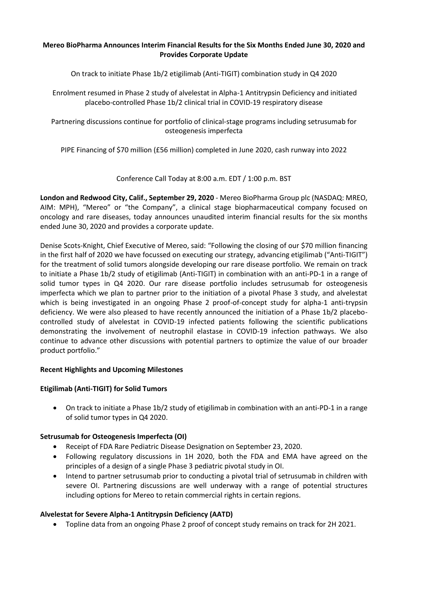# **Mereo BioPharma Announces Interim Financial Results for the Six Months Ended June 30, 2020 and Provides Corporate Update**

On track to initiate Phase 1b/2 etigilimab (Anti-TIGIT) combination study in Q4 2020

Enrolment resumed in Phase 2 study of alvelestat in Alpha-1 Antitrypsin Deficiency and initiated placebo-controlled Phase 1b/2 clinical trial in COVID-19 respiratory disease

Partnering discussions continue for portfolio of clinical-stage programs including setrusumab for osteogenesis imperfecta

PIPE Financing of \$70 million (£56 million) completed in June 2020, cash runway into 2022

Conference Call Today at 8:00 a.m. EDT / 1:00 p.m. BST

**London and Redwood City, Calif., September 29, 2020** - Mereo BioPharma Group plc (NASDAQ: MREO, AIM: MPH), "Mereo" or "the Company", a clinical stage biopharmaceutical company focused on oncology and rare diseases, today announces unaudited interim financial results for the six months ended June 30, 2020 and provides a corporate update.

Denise Scots-Knight, Chief Executive of Mereo, said: "Following the closing of our \$70 million financing in the first half of 2020 we have focussed on executing our strategy, advancing etigilimab ("Anti-TIGIT") for the treatment of solid tumors alongside developing our rare disease portfolio. We remain on track to initiate a Phase 1b/2 study of etigilimab (Anti-TIGIT) in combination with an anti-PD-1 in a range of solid tumor types in Q4 2020. Our rare disease portfolio includes setrusumab for osteogenesis imperfecta which we plan to partner prior to the initiation of a pivotal Phase 3 study, and alvelestat which is being investigated in an ongoing Phase 2 proof-of-concept study for alpha-1 anti-trypsin deficiency. We were also pleased to have recently announced the initiation of a Phase 1b/2 placebocontrolled study of alvelestat in COVID-19 infected patients following the scientific publications demonstrating the involvement of neutrophil elastase in COVID-19 infection pathways. We also continue to advance other discussions with potential partners to optimize the value of our broader product portfolio."

# **Recent Highlights and Upcoming Milestones**

# **Etigilimab (Anti-TIGIT) for Solid Tumors**

• On track to initiate a Phase 1b/2 study of etigilimab in combination with an anti-PD-1 in a range of solid tumor types in Q4 2020.

# **Setrusumab for Osteogenesis Imperfecta (OI)**

- Receipt of FDA Rare Pediatric Disease Designation on September 23, 2020.
- Following regulatory discussions in 1H 2020, both the FDA and EMA have agreed on the principles of a design of a single Phase 3 pediatric pivotal study in OI.
- Intend to partner setrusumab prior to conducting a pivotal trial of setrusumab in children with severe OI. Partnering discussions are well underway with a range of potential structures including options for Mereo to retain commercial rights in certain regions.

# **Alvelestat for Severe Alpha-1 Antitrypsin Deficiency (AATD)**

• Topline data from an ongoing Phase 2 proof of concept study remains on track for 2H 2021.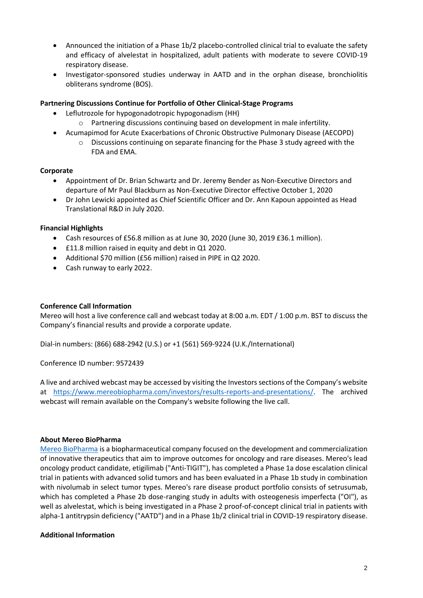- Announced the initiation of a Phase 1b/2 placebo-controlled clinical trial to evaluate the safety and efficacy of alvelestat in hospitalized, adult patients with moderate to severe COVID-19 respiratory disease.
- Investigator-sponsored studies underway in AATD and in the orphan disease, bronchiolitis obliterans syndrome (BOS).

# **Partnering Discussions Continue for Portfolio of Other Clinical-Stage Programs**

- Leflutrozole for hypogonadotropic hypogonadism (HH)
	- o Partnering discussions continuing based on development in male infertility.
- Acumapimod for Acute Exacerbations of Chronic Obstructive Pulmonary Disease (AECOPD)
	- o Discussions continuing on separate financing for the Phase 3 study agreed with the FDA and EMA.

# **Corporate**

- Appointment of Dr. Brian Schwartz and Dr. Jeremy Bender as Non-Executive Directors and departure of Mr Paul Blackburn as Non-Executive Director effective October 1, 2020
- Dr John Lewicki appointed as Chief Scientific Officer and Dr. Ann Kapoun appointed as Head Translational R&D in July 2020.

# **Financial Highlights**

- Cash resources of £56.8 million as at June 30, 2020 (June 30, 2019 £36.1 million).
- £11.8 million raised in equity and debt in Q1 2020.
- Additional \$70 million (£56 million) raised in PIPE in Q2 2020.
- Cash runway to early 2022.

# **Conference Call Information**

Mereo will host a live conference call and webcast today at 8:00 a.m. EDT / 1:00 p.m. BST to discuss the Company's financial results and provide a corporate update.

Dial-in numbers: (866) 688-2942 (U.S.) or +1 (561) 569-9224 (U.K./International)

Conference ID number: 9572439

A live and archived webcast may be accessed by visiting the Investors sections of the Company's website at [https://www.mereobiopharma.com/investors/results-reports-and-presentations/.](https://www.mereobiopharma.com/investors/results-reports-and-presentations/) The archived webcast will remain available on the Company's website following the live call.

# **About Mereo BioPharma**

[Mereo BioPharma](https://www.mereobiopharma.com/) is a biopharmaceutical company focused on the development and commercialization of innovative therapeutics that aim to improve outcomes for oncology and rare diseases. Mereo's lead oncology product candidate, etigilimab ("Anti-TIGIT"), has completed a Phase 1a dose escalation clinical trial in patients with advanced solid tumors and has been evaluated in a Phase 1b study in combination with nivolumab in select tumor types. Mereo's rare disease product portfolio consists of setrusumab, which has completed a Phase 2b dose-ranging study in adults with osteogenesis imperfecta ("OI"), as well as alvelestat, which is being investigated in a Phase 2 proof-of-concept clinical trial in patients with alpha-1 antitrypsin deficiency ("AATD") and in a Phase 1b/2 clinical trial in COVID-19 respiratory disease.

# **Additional Information**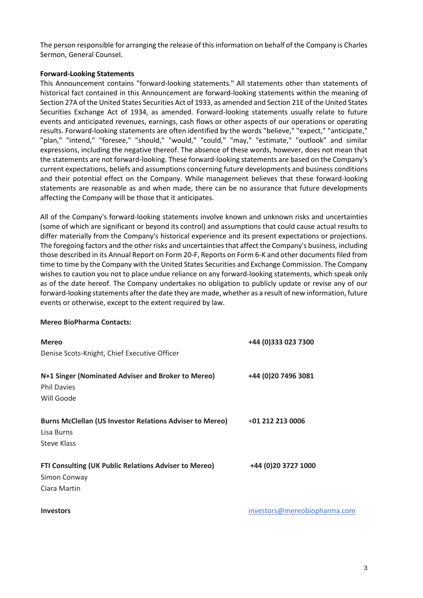The person responsible for arranging the release of this information on behalf of the Company is Charles Sermon, General Counsel.

# **Forward-Looking Statements**

This Announcement contains "forward-looking statements." All statements other than statements of historical fact contained in this Announcement are forward-looking statements within the meaning of Section 27A of the United States Securities Act of 1933, as amended and Section 21E of the United States Securities Exchange Act of 1934, as amended. Forward-looking statements usually relate to future events and anticipated revenues, earnings, cash flows or other aspects of our operations or operating results. Forward-looking statements are often identified by the words "believe," "expect," "anticipate," "plan," "intend," "foresee," "should," "would," "could," "may," "estimate," "outlook" and similar expressions, including the negative thereof. The absence of these words, however, does not mean that the statements are not forward-looking. These forward-looking statements are based on the Company's current expectations, beliefs and assumptions concerning future developments and business conditions and their potential effect on the Company. While management believes that these forward-looking statements are reasonable as and when made, there can be no assurance that future developments affecting the Company will be those that it anticipates.

All of the Company's forward-looking statements involve known and unknown risks and uncertainties (some of which are significant or beyond its control) and assumptions that could cause actual results to differ materially from the Company's historical experience and its present expectations or projections. The foregoing factors and the other risks and uncertainties that affect the Company's business, including those described in its Annual Report on Form 20-F, Reports on Form 6-K and other documents filed from time to time by the Company with the United States Securities and Exchange Commission. The Company wishes to caution you not to place undue reliance on any forward-looking statements, which speak only as of the date hereof. The Company undertakes no obligation to publicly update or revise any of our forward-looking statements after the date they are made, whether as a result of new information, future events or otherwise, except to the extent required by law.

# **Mereo BioPharma Contacts:**

| <b>Mereo</b>                                                                                        | +44 (0)333 023 7300          |
|-----------------------------------------------------------------------------------------------------|------------------------------|
| Denise Scots-Knight, Chief Executive Officer                                                        |                              |
| N+1 Singer (Nominated Adviser and Broker to Mereo)<br><b>Phil Davies</b><br>Will Goode              | +44 (0)20 7496 3081          |
| <b>Burns McClellan (US Investor Relations Adviser to Mereo)</b><br>Lisa Burns<br><b>Steve Klass</b> | +01 212 213 0006             |
| FTI Consulting (UK Public Relations Adviser to Mereo)<br>Simon Conway<br>Ciara Martin               | +44 (0)20 3727 1000          |
| <b>Investors</b>                                                                                    | investors@mereobiopharma.com |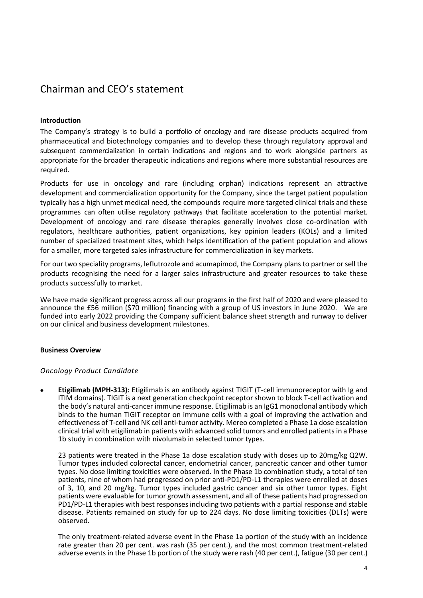# Chairman and CEO's statement

# **Introduction**

The Company's strategy is to build a portfolio of oncology and rare disease products acquired from pharmaceutical and biotechnology companies and to develop these through regulatory approval and subsequent commercialization in certain indications and regions and to work alongside partners as appropriate for the broader therapeutic indications and regions where more substantial resources are required.

Products for use in oncology and rare (including orphan) indications represent an attractive development and commercialization opportunity for the Company, since the target patient population typically has a high unmet medical need, the compounds require more targeted clinical trials and these programmes can often utilise regulatory pathways that facilitate acceleration to the potential market. Development of oncology and rare disease therapies generally involves close co-ordination with regulators, healthcare authorities, patient organizations, key opinion leaders (KOLs) and a limited number of specialized treatment sites, which helps identification of the patient population and allows for a smaller, more targeted sales infrastructure for commercialization in key markets.

For our two speciality programs, leflutrozole and acumapimod, the Company plans to partner or sell the products recognising the need for a larger sales infrastructure and greater resources to take these products successfully to market.

We have made significant progress across all our programs in the first half of 2020 and were pleased to announce the £56 million (\$70 million) financing with a group of US investors in June 2020. We are funded into early 2022 providing the Company sufficient balance sheet strength and runway to deliver on our clinical and business development milestones.

# **Business Overview**

# *Oncology Product Candidate*

• **Etigilimab (MPH-313):** Etigilimab is an antibody against TIGIT (T-cell immunoreceptor with Ig and ITIM domains). TIGIT is a next generation checkpoint receptor shown to block T-cell activation and the body's natural anti-cancer immune response. Etigilimab is an IgG1 monoclonal antibody which binds to the human TIGIT receptor on immune cells with a goal of improving the activation and effectiveness of T-cell and NK cell anti-tumor activity. Mereo completed a Phase 1a dose escalation clinical trial with etigilimab in patients with advanced solid tumors and enrolled patients in a Phase 1b study in combination with nivolumab in selected tumor types.

23 patients were treated in the Phase 1a dose escalation study with doses up to 20mg/kg Q2W. Tumor types included colorectal cancer, endometrial cancer, pancreatic cancer and other tumor types. No dose limiting toxicities were observed. In the Phase 1b combination study, a total of ten patients, nine of whom had progressed on prior anti-PD1/PD-L1 therapies were enrolled at doses of 3, 10, and 20 mg/kg. Tumor types included gastric cancer and six other tumor types. Eight patients were evaluable for tumor growth assessment, and all of these patients had progressed on PD1/PD-L1 therapies with best responses including two patients with a partial response and stable disease. Patients remained on study for up to 224 days. No dose limiting toxicities (DLTs) were observed.

The only treatment-related adverse event in the Phase 1a portion of the study with an incidence rate greater than 20 per cent. was rash (35 per cent.), and the most common treatment-related adverse events in the Phase 1b portion of the study were rash (40 per cent.), fatigue (30 per cent.)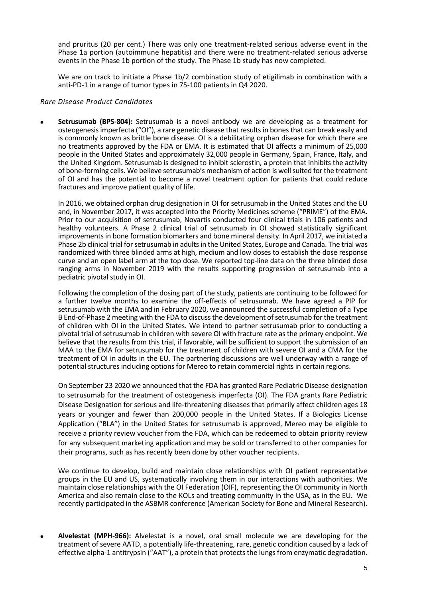and pruritus (20 per cent.) There was only one treatment-related serious adverse event in the Phase 1a portion (autoimmune hepatitis) and there were no treatment-related serious adverse events in the Phase 1b portion of the study. The Phase 1b study has now completed.

We are on track to initiate a Phase 1b/2 combination study of etigilimab in combination with a anti-PD-1 in a range of tumor types in 75-100 patients in Q4 2020.

# *Rare Disease Product Candidates*

• **Setrusumab (BPS-804):** Setrusumab is a novel antibody we are developing as a treatment for osteogenesis imperfecta ("OI"), a rare genetic disease that results in bones that can break easily and is commonly known as brittle bone disease. OI is a debilitating orphan disease for which there are no treatments approved by the FDA or EMA. It is estimated that OI affects a minimum of 25,000 people in the United States and approximately 32,000 people in Germany, Spain, France, Italy, and the United Kingdom. Setrusumab is designed to inhibit sclerostin, a protein that inhibits the activity of bone-forming cells. We believe setrusumab's mechanism of action is well suited for the treatment of OI and has the potential to become a novel treatment option for patients that could reduce fractures and improve patient quality of life.

In 2016, we obtained orphan drug designation in OI for setrusumab in the United States and the EU and, in November 2017, it was accepted into the Priority Medicines scheme ("PRIME") of the EMA. Prior to our acquisition of setrusumab, Novartis conducted four clinical trials in 106 patients and healthy volunteers. A Phase 2 clinical trial of setrusumab in OI showed statistically significant improvements in bone formation biomarkers and bone mineral density. In April 2017, we initiated a Phase 2b clinical trial for setrusumab in adults in the United States, Europe and Canada. The trial was randomized with three blinded arms at high, medium and low doses to establish the dose response curve and an open label arm at the top dose. We reported top-line data on the three blinded dose ranging arms in November 2019 with the results supporting progression of setrusumab into a pediatric pivotal study in OI.

Following the completion of the dosing part of the study, patients are continuing to be followed for a further twelve months to examine the off-effects of setrusumab. We have agreed a PIP for setrusumab with the EMA and in February 2020, we announced the successful completion of a Type B End-of-Phase 2 meeting with the FDA to discuss the development of setrusumab for the treatment of children with OI in the United States. We intend to partner setrusumab prior to conducting a pivotal trial of setrusumab in children with severe OI with fracture rate as the primary endpoint. We believe that the results from this trial, if favorable, will be sufficient to support the submission of an MAA to the EMA for setrusumab for the treatment of children with severe OI and a CMA for the treatment of OI in adults in the EU. The partnering discussions are well underway with a range of potential structures including options for Mereo to retain commercial rights in certain regions.

On September 23 2020 we announced that the FDA has granted Rare Pediatric Disease designation to setrusumab for the treatment of osteogenesis imperfecta (OI). The FDA grants Rare Pediatric Disease Designation for serious and life-threatening diseases that primarily affect children ages 18 years or younger and fewer than 200,000 people in the United States. If a Biologics License Application ("BLA") in the United States for setrusumab is approved, Mereo may be eligible to receive a priority review voucher from the FDA, which can be redeemed to obtain priority review for any subsequent marketing application and may be sold or transferred to other companies for their programs, such as has recently been done by other voucher recipients.

We continue to develop, build and maintain close relationships with OI patient representative groups in the EU and US, systematically involving them in our interactions with authorities. We maintain close relationships with the OI Federation (OIF), representing the OI community in North America and also remain close to the KOLs and treating community in the USA, as in the EU. We recently participated in the ASBMR conference (American Society for Bone and Mineral Research).

• **Alvelestat (MPH-966):** Alvelestat is a novel, oral small molecule we are developing for the treatment of severe AATD, a potentially life-threatening, rare, genetic condition caused by a lack of effective alpha-1 antitrypsin ("AAT"), a protein that protects the lungs from enzymatic degradation.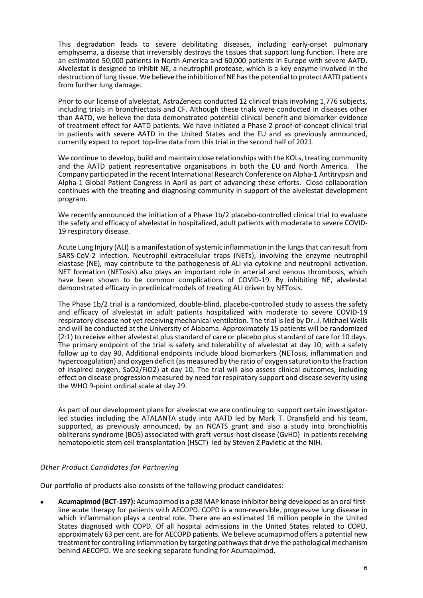This degradation leads to severe debilitating diseases, including early-onset pulmonar**y**  emphysema, a disease that irreversibly destroys the tissues that support lung function. There are an estimated 50,000 patients in North America and 60,000 patients in Europe with severe AATD. Alvelestat is designed to inhibit NE, a neutrophil protease, which is a key enzyme involved in the destruction of lung tissue. We believe the inhibition of NE has the potential to protect AATD patients from further lung damage.

Prior to our license of alvelestat, AstraZeneca conducted 12 clinical trials involving 1,776 subjects, including trials in bronchiectasis and CF. Although these trials were conducted in diseases other than AATD, we believe the data demonstrated potential clinical benefit and biomarker evidence of treatment effect for AATD patients. We have initiated a Phase 2 proof-of-concept clinical trial in patients with severe AATD in the United States and the EU and as previously announced, currently expect to report top-line data from this trial in the second half of 2021.

We continue to develop, build and maintain close relationships with the KOLs, treating community and the AATD patient representative organisations in both the EU and North America. The Company participated in the recent International Research Conference on Alpha-1 Antitrypsin and Alpha-1 Global Patient Congress in April as part of advancing these efforts. Close collaboration continues with the treating and diagnosing community in support of the alvelestat development program.

We recently announced the initiation of a Phase 1b/2 placebo-controlled clinical trial to evaluate the safety and efficacy of alvelestat in hospitalized, adult patients with moderate to severe COVID-19 respiratory disease.

Acute Lung Injury (ALI) is a manifestation of systemic inflammation in the lungs that can result from SARS-CoV-2 infection. Neutrophil extracellular traps (NETs), involving the enzyme neutrophil elastase (NE), may contribute to the pathogenesis of ALI via cytokine and neutrophil activation. NET formation (NETosis) also plays an important role in arterial and venous thrombosis, which have been shown to be common complications of COVID-19. By inhibiting NE, alvelestat demonstrated efficacy in preclinical models of treating ALI driven by NETosis.

The Phase 1b/2 trial is a randomized, double-blind, placebo-controlled study to assess the safety and efficacy of alvelestat in adult patients hospitalized with moderate to severe COVID-19 respiratory disease not yet receiving mechanical ventilation. The trial is led by Dr. J. Michael Wells and will be conducted at the University of Alabama. Approximately 15 patients will be randomized (2:1) to receive either alvelestat plus standard of care or placebo plus standard of care for 10 days. The primary endpoint of the trial is safety and tolerability of alvelestat at day 10, with a safety follow up to day 90. Additional endpoints include blood biomarkers (NETosis, inflammation and hypercoagulation) and oxygen deficit (as measured by the ratio of oxygen saturation to the fraction of inspired oxygen, SaO2/FiO2) at day 10. The trial will also assess clinical outcomes, including effect on disease progression measured by need for respiratory support and disease severity using the WHO 9-point ordinal scale at day 29.

As part of our development plans for alvelestat we are continuing to support certain investigatorled studies including the ATALANTA study into AATD led by Mark T. Dransfield and his team, supported, as previously announced, by an NCATS grant and also a study into bronchiolitis obliterans syndrome (BOS) associated with graft-versus-host disease (GvHD) in patients receiving hematopoietic stem cell transplantation (HSCT) led by Steven Z Pavletic at the NIH.

# *Other Product Candidates for Partnering*

Our portfolio of products also consists of the following product candidates:

• **Acumapimod (BCT-197):** Acumapimod is a p38 MAP kinase inhibitor being developed as an oral firstline acute therapy for patients with AECOPD. COPD is a non-reversible, progressive lung disease in which inflammation plays a central role. There are an estimated 16 million people in the United States diagnosed with COPD. Of all hospital admissions in the United States related to COPD, approximately 63 per cent. are for AECOPD patients. We believe acumapimod offers a potential new treatment for controlling inflammation by targeting pathways that drive the pathological mechanism behind AECOPD. We are seeking separate funding for Acumapimod.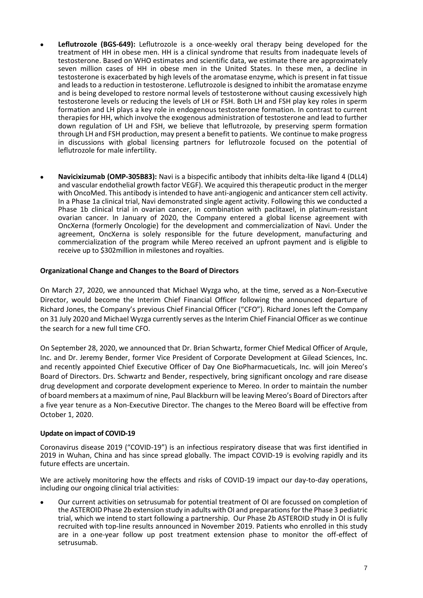- **Leflutrozole (BGS-649):** Leflutrozole is a once-weekly oral therapy being developed for the treatment of HH in obese men. HH is a clinical syndrome that results from inadequate levels of testosterone. Based on WHO estimates and scientific data, we estimate there are approximately seven million cases of HH in obese men in the United States. In these men, a decline in testosterone is exacerbated by high levels of the aromatase enzyme, which is present in fat tissue and leads to a reduction in testosterone. Leflutrozole is designed to inhibit the aromatase enzyme and is being developed to restore normal levels of testosterone without causing excessively high testosterone levels or reducing the levels of LH or FSH. Both LH and FSH play key roles in sperm formation and LH plays a key role in endogenous testosterone formation. In contrast to current therapies for HH, which involve the exogenous administration of testosterone and lead to further down regulation of LH and FSH, we believe that leflutrozole, by preserving sperm formation through LH and FSH production, may present a benefit to patients. We continue to make progress in discussions with global licensing partners for leflutrozole focused on the potential of leflutrozole for male infertility.
- **Navicixizumab (OMP-305B83):** Navi is a bispecific antibody that inhibits delta-like ligand 4 (DLL4) and vascular endothelial growth factor VEGF). We acquired this therapeutic product in the merger with OncoMed. This antibody is intended to have anti-angiogenic and anticancer stem cell activity. In a Phase 1a clinical trial, Navi demonstrated single agent activity. Following this we conducted a Phase 1b clinical trial in ovarian cancer, in combination with paclitaxel, in platinum-resistant ovarian cancer. In January of 2020, the Company entered a global license agreement with OncXerna (formerly Oncologie) for the development and commercialization of Navi. Under the agreement, OncXerna is solely responsible for the future development, manufacturing and commercialization of the program while Mereo received an upfront payment and is eligible to receive up to \$302million in milestones and royalties.

# **Organizational Change and Changes to the Board of Directors**

On March 27, 2020, we announced that Michael Wyzga who, at the time, served as a Non-Executive Director, would become the Interim Chief Financial Officer following the announced departure of Richard Jones, the Company's previous Chief Financial Officer ("CFO"). Richard Jones left the Company on 31 July 2020 and Michael Wyzga currently serves as the Interim Chief Financial Officer as we continue the search for a new full time CFO.

On September 28, 2020, we announced that Dr. Brian Schwartz, former Chief Medical Officer of Arqule, Inc. and Dr. Jeremy Bender, former Vice President of Corporate Development at Gilead Sciences, Inc. and recently appointed Chief Executive Officer of Day One BioPharmacueticals, Inc. will join Mereo's Board of Directors. Drs. Schwartz and Bender, respectively, bring significant oncology and rare disease drug development and corporate development experience to Mereo. In order to maintain the number of board members at a maximum of nine, Paul Blackburn will be leaving Mereo's Board of Directors after a five year tenure as a Non-Executive Director. The changes to the Mereo Board will be effective from October 1, 2020.

# **Update on impact of COVID-19**

Coronavirus disease 2019 ("COVID-19") is an infectious respiratory disease that was first identified in 2019 in Wuhan, China and has since spread globally. The impact COVID-19 is evolving rapidly and its future effects are uncertain.

We are actively monitoring how the effects and risks of COVID-19 impact our day-to-day operations, including our ongoing clinical trial activities:

• Our current activities on setrusumab for potential treatment of OI are focussed on completion of the ASTEROID Phase 2b extension study in adults with OI and preparations for the Phase 3 pediatric trial, which we intend to start following a partnership. Our Phase 2b ASTEROID study in OI is fully recruited with top-line results announced in November 2019. Patients who enrolled in this study are in a one-year follow up post treatment extension phase to monitor the off-effect of setrusumab.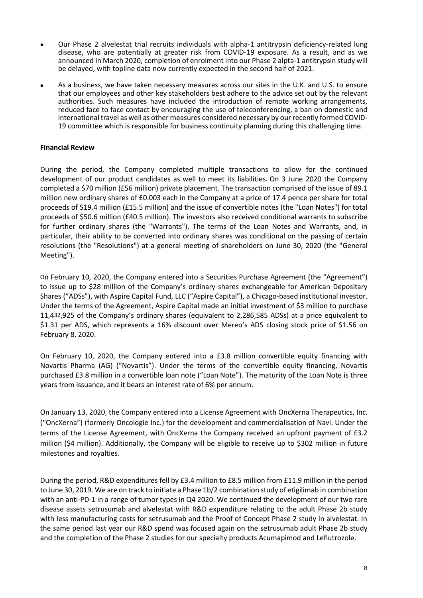- Our Phase 2 alvelestat trial recruits individuals with alpha-1 antitrypsin deficiency-related lung disease, who are potentially at greater risk from COVID-19 exposure. As a result, and as we announced in March 2020, completion of enrolment into our Phase 2 alpta-1 antitrypsin study will be delayed, with topline data now currently expected in the second half of 2021.
- As a business, we have taken necessary measures across our sites in the U.K. and U.S. to ensure that our employees and other key stakeholders best adhere to the advice set out by the relevant authorities. Such measures have included the introduction of remote working arrangements, reduced face to face contact by encouraging the use of teleconferencing, a ban on domestic and international travel as well as other measures considered necessary by our recently formed COVID-19 committee which is responsible for business continuity planning during this challenging time.

# **Financial Review**

During the period, the Company completed multiple transactions to allow for the continued development of our product candidates as well to meet its liabilities. On 3 June 2020 the Company completed a \$70 million (£56 million) private placement. The transaction comprised of the issue of 89.1 million new ordinary shares of £0.003 each in the Company at a price of 17.4 pence per share for total proceeds of \$19.4 million (£15.5 million) and the issue of convertible notes (the "Loan Notes") for total proceeds of \$50.6 million (£40.5 million). The investors also received conditional warrants to subscribe for further ordinary shares (the "Warrants"). The terms of the Loan Notes and Warrants, and, in particular, their ability to be converted into ordinary shares was conditional on the passing of certain resolutions (the "Resolutions") at a general meeting of shareholders on June 30, 2020 (the "General Meeting").

On February 10, 2020, the Company entered into a Securities Purchase Agreement (the "Agreement") to issue up to \$28 million of the Company's ordinary shares exchangeable for American Depositary Shares ("ADSs"), with Aspire Capital Fund, LLC ("Aspire Capital"), a Chicago-based institutional investor. Under the terms of the Agreement, Aspire Capital made an initial investment of \$3 million to purchase 11,432,925 of the Company's ordinary shares (equivalent to 2,286,585 ADSs) at a price equivalent to \$1.31 per ADS, which represents a 16% discount over Mereo's ADS closing stock price of \$1.56 on February 8, 2020.

On February 10, 2020, the Company entered into a £3.8 million convertible equity financing with Novartis Pharma (AG) ("Novartis"). Under the terms of the convertible equity financing, Novartis purchased £3.8 million in a convertible loan note ("Loan Note"). The maturity of the Loan Note is three years from issuance, and it bears an interest rate of 6% per annum.

On January 13, 2020, the Company entered into a License Agreement with OncXerna Therapeutics, Inc. ("OncXerna") (formerly Oncologie Inc.) for the development and commercialisation of Navi. Under the terms of the License Agreement, with OncXerna the Company received an upfront payment of £3.2 million (\$4 million). Additionally, the Company will be eligible to receive up to \$302 million in future milestones and royalties.

During the period, R&D expenditures fell by £3.4 million to £8.5 million from £11.9 million in the period to June 30, 2019. We are on track to initiate a Phase 1b/2 combination study of etigilimab in combination with an anti-PD-1 in a range of tumor types in Q4 2020. We continued the development of our two rare disease assets setrusumab and alvelestat with R&D expenditure relating to the adult Phase 2b study with less manufacturing costs for setrusumab and the Proof of Concept Phase 2 study in alvelestat. In the same period last year our R&D spend was focused again on the setrusumab adult Phase 2b study and the completion of the Phase 2 studies for our specialty products Acumapimod and Leflutrozole.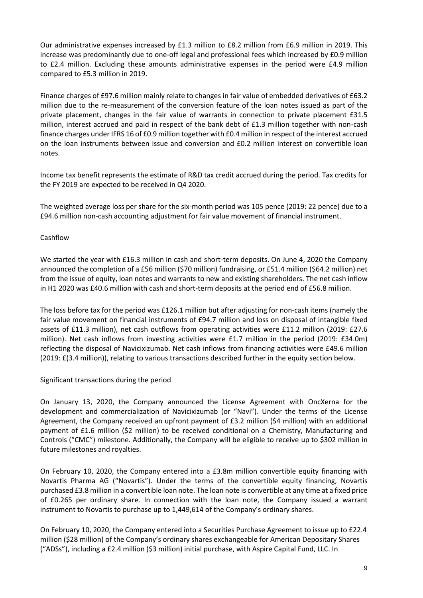Our administrative expenses increased by £1.3 million to £8.2 million from £6.9 million in 2019. This increase was predominantly due to one-off legal and professional fees which increased by £0.9 million to £2.4 million. Excluding these amounts administrative expenses in the period were £4.9 million compared to £5.3 million in 2019.

Finance charges of £97.6 million mainly relate to changes in fair value of embedded derivatives of £63.2 million due to the re-measurement of the conversion feature of the loan notes issued as part of the private placement, changes in the fair value of warrants in connection to private placement £31.5 million, interest accrued and paid in respect of the bank debt of £1.3 million together with non-cash finance charges under IFRS 16 of £0.9 million together with £0.4 million in respect of the interest accrued on the loan instruments between issue and conversion and £0.2 million interest on convertible loan notes.

Income tax benefit represents the estimate of R&D tax credit accrued during the period. Tax credits for the FY 2019 are expected to be received in Q4 2020.

The weighted average loss per share for the six-month period was 105 pence (2019: 22 pence) due to a £94.6 million non-cash accounting adjustment for fair value movement of financial instrument.

# Cashflow

We started the year with £16.3 million in cash and short-term deposits. On June 4, 2020 the Company announced the completion of a £56 million (\$70 million) fundraising, or £51.4 million (\$64.2 million) net from the issue of equity, loan notes and warrants to new and existing shareholders. The net cash inflow in H1 2020 was £40.6 million with cash and short-term deposits at the period end of £56.8 million.

The loss before tax for the period was £126.1 million but after adjusting for non-cash items (namely the fair value movement on financial instruments of £94.7 million and loss on disposal of intangible fixed assets of £11.3 million), net cash outflows from operating activities were £11.2 million (2019: £27.6 million). Net cash inflows from investing activities were £1.7 million in the period (2019: £34.0m) reflecting the disposal of Navicixizumab. Net cash inflows from financing activities were £49.6 million (2019: £(3.4 million)), relating to various transactions described further in the equity section below.

# Significant transactions during the period

On January 13, 2020, the Company announced the License Agreement with OncXerna for the development and commercialization of Navicixizumab (or "Navi"). Under the terms of the License Agreement, the Company received an upfront payment of £3.2 million (\$4 million) with an additional payment of £1.6 million (\$2 million) to be received conditional on a Chemistry, Manufacturing and Controls ("CMC") milestone. Additionally, the Company will be eligible to receive up to \$302 million in future milestones and royalties.

On February 10, 2020, the Company entered into a £3.8m million convertible equity financing with Novartis Pharma AG ("Novartis"). Under the terms of the convertible equity financing, Novartis purchased £3.8 million in a convertible loan note. The loan note is convertible at any time at a fixed price of £0.265 per ordinary share. In connection with the loan note, the Company issued a warrant instrument to Novartis to purchase up to 1,449,614 of the Company's ordinary shares.

On February 10, 2020, the Company entered into a Securities Purchase Agreement to issue up to £22.4 million (\$28 million) of the Company's ordinary shares exchangeable for American Depositary Shares ("ADSs"), including a £2.4 million (\$3 million) initial purchase, with Aspire Capital Fund, LLC. In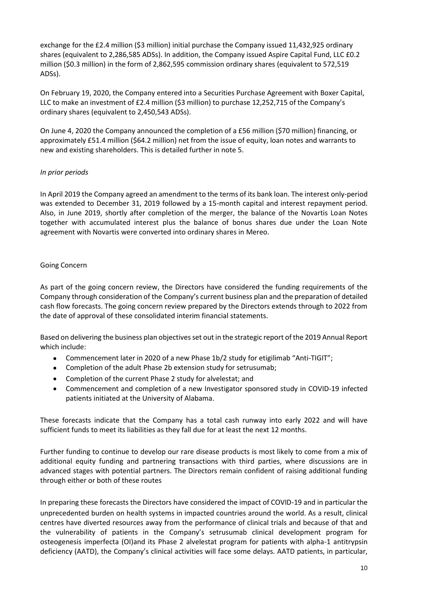exchange for the £2.4 million (\$3 million) initial purchase the Company issued 11,432,925 ordinary shares (equivalent to 2,286,585 ADSs). In addition, the Company issued Aspire Capital Fund, LLC £0.2 million (\$0.3 million) in the form of 2,862,595 commission ordinary shares (equivalent to 572,519 ADSs).

On February 19, 2020, the Company entered into a Securities Purchase Agreement with Boxer Capital, LLC to make an investment of £2.4 million (\$3 million) to purchase 12,252,715 of the Company's ordinary shares (equivalent to 2,450,543 ADSs).

On June 4, 2020 the Company announced the completion of a £56 million (\$70 million) financing, or approximately £51.4 million (\$64.2 million) net from the issue of equity, loan notes and warrants to new and existing shareholders. This is detailed further in note 5.

# *In prior periods*

In April 2019 the Company agreed an amendment to the terms of its bank loan. The interest only-period was extended to December 31, 2019 followed by a 15-month capital and interest repayment period. Also, in June 2019, shortly after completion of the merger, the balance of the Novartis Loan Notes together with accumulated interest plus the balance of bonus shares due under the Loan Note agreement with Novartis were converted into ordinary shares in Mereo.

# Going Concern

As part of the going concern review, the Directors have considered the funding requirements of the Company through consideration of the Company's current business plan and the preparation of detailed cash flow forecasts. The going concern review prepared by the Directors extends through to 2022 from the date of approval of these consolidated interim financial statements.

Based on delivering the business plan objectives set out in the strategic report of the 2019 Annual Report which include:

- Commencement later in 2020 of a new Phase 1b/2 study for etigilimab "Anti-TIGIT";
- Completion of the adult Phase 2b extension study for setrusumab;
- Completion of the current Phase 2 study for alvelestat; and
- Commencement and completion of a new Investigator sponsored study in COVID-19 infected patients initiated at the University of Alabama.

These forecasts indicate that the Company has a total cash runway into early 2022 and will have sufficient funds to meet its liabilities as they fall due for at least the next 12 months.

Further funding to continue to develop our rare disease products is most likely to come from a mix of additional equity funding and partnering transactions with third parties, where discussions are in advanced stages with potential partners. The Directors remain confident of raising additional funding through either or both of these routes

In preparing these forecasts the Directors have considered the impact of COVID-19 and in particular the unprecedented burden on health systems in impacted countries around the world. As a result, clinical centres have diverted resources away from the performance of clinical trials and because of that and the vulnerability of patients in the Company's setrusumab clinical development program for osteogenesis imperfecta (OI)and its Phase 2 alvelestat program for patients with alpha-1 antitrypsin deficiency (AATD), the Company's clinical activities will face some delays. AATD patients, in particular,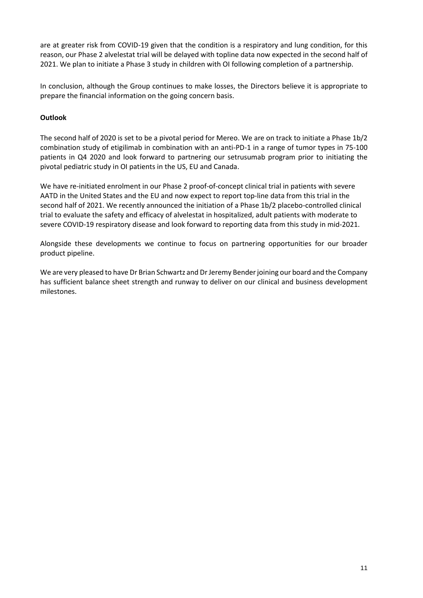are at greater risk from COVID-19 given that the condition is a respiratory and lung condition, for this reason, our Phase 2 alvelestat trial will be delayed with topline data now expected in the second half of 2021. We plan to initiate a Phase 3 study in children with OI following completion of a partnership.

In conclusion, although the Group continues to make losses, the Directors believe it is appropriate to prepare the financial information on the going concern basis.

# **Outlook**

The second half of 2020 is set to be a pivotal period for Mereo. We are on track to initiate a Phase 1b/2 combination study of etigilimab in combination with an anti-PD-1 in a range of tumor types in 75-100 patients in Q4 2020 and look forward to partnering our setrusumab program prior to initiating the pivotal pediatric study in OI patients in the US, EU and Canada.

We have re-initiated enrolment in our Phase 2 proof-of-concept clinical trial in patients with severe AATD in the United States and the EU and now expect to report top-line data from this trial in the second half of 2021. We recently announced the initiation of a Phase 1b/2 placebo-controlled clinical trial to evaluate the safety and efficacy of alvelestat in hospitalized, adult patients with moderate to severe COVID-19 respiratory disease and look forward to reporting data from this study in mid-2021.

Alongside these developments we continue to focus on partnering opportunities for our broader product pipeline.

We are very pleased to have Dr Brian Schwartz and Dr Jeremy Bender joining our board and the Company has sufficient balance sheet strength and runway to deliver on our clinical and business development milestones.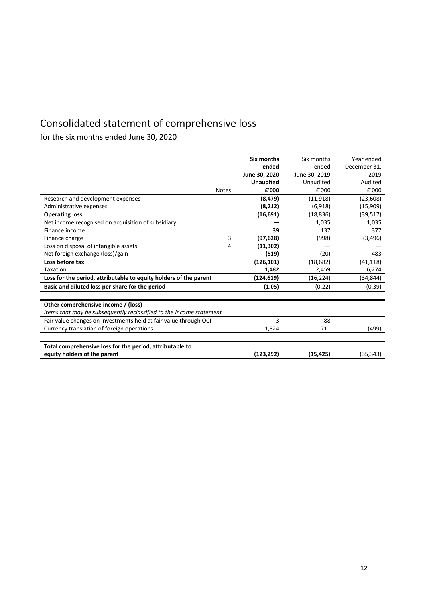# Consolidated statement of comprehensive loss

for the six months ended June 30, 2020

|                                                                     |              | Six months       | Six months    | Year ended   |
|---------------------------------------------------------------------|--------------|------------------|---------------|--------------|
|                                                                     |              | ended            | ended         | December 31, |
|                                                                     |              | June 30, 2020    | June 30, 2019 | 2019         |
|                                                                     |              | <b>Unaudited</b> | Unaudited     | Audited      |
|                                                                     | <b>Notes</b> | £'000            | f'000         | £'000        |
| Research and development expenses                                   |              | (8, 479)         | (11, 918)     | (23, 608)    |
| Administrative expenses                                             |              | (8, 212)         | (6,918)       | (15,909)     |
| <b>Operating loss</b>                                               |              | (16, 691)        | (18, 836)     | (39, 517)    |
| Net income recognised on acquisition of subsidiary                  |              |                  | 1,035         | 1,035        |
| Finance income                                                      |              | 39               | 137           | 377          |
| Finance charge                                                      | 3            | (97, 628)        | (998)         | (3, 496)     |
| Loss on disposal of intangible assets                               | 4            | (11, 302)        |               |              |
| Net foreign exchange (loss)/gain                                    |              | (519)            | (20)          | 483          |
| Loss before tax                                                     |              | (126, 101)       | (18, 682)     | (41, 118)    |
| Taxation                                                            |              | 1,482            | 2,459         | 6,274        |
| Loss for the period, attributable to equity holders of the parent   |              | (124, 619)       | (16, 224)     | (34, 844)    |
| Basic and diluted loss per share for the period                     |              | (1.05)           | (0.22)        | (0.39)       |
|                                                                     |              |                  |               |              |
| Other comprehensive income / (loss)                                 |              |                  |               |              |
| Items that may be subsequently reclassified to the income statement |              |                  |               |              |
| Fair value changes on investments held at fair value through OCI    |              | 3                | 88            |              |
| Currency translation of foreign operations                          |              | 1,324            | 711           | (499)        |
|                                                                     |              |                  |               |              |
| Total comprehensive loss for the period, attributable to            |              |                  |               |              |
| equity holders of the parent                                        |              | (123, 292)       | (15, 425)     | (35, 343)    |
|                                                                     |              |                  |               |              |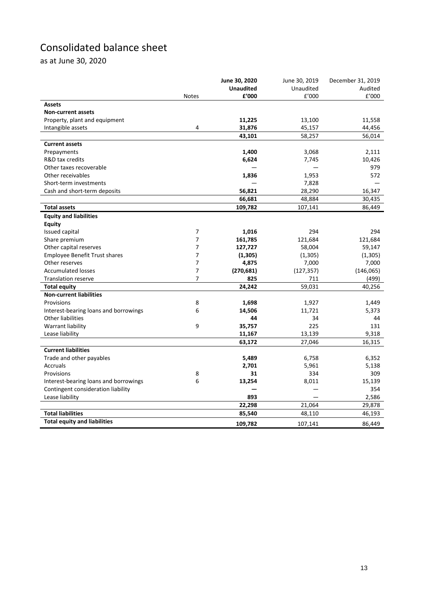# Consolidated balance sheet

as at June 30, 2020

|                                       |                | June 30, 2020    | June 30, 2019 | December 31, 2019 |
|---------------------------------------|----------------|------------------|---------------|-------------------|
|                                       |                | <b>Unaudited</b> | Unaudited     | Audited           |
|                                       | <b>Notes</b>   | £'000            | £'000         | f'000             |
| <b>Assets</b>                         |                |                  |               |                   |
| <b>Non-current assets</b>             |                |                  |               |                   |
| Property, plant and equipment         |                | 11,225           | 13,100        | 11,558            |
| Intangible assets                     | 4              | 31,876           | 45,157        | 44,456            |
|                                       |                | 43,101           | 58,257        | 56,014            |
| <b>Current assets</b>                 |                |                  |               |                   |
| Prepayments                           |                | 1,400            | 3,068         | 2,111             |
| R&D tax credits                       |                | 6,624            | 7,745         | 10,426            |
| Other taxes recoverable               |                |                  |               | 979               |
| Other receivables                     |                | 1,836            | 1,953         | 572               |
| Short-term investments                |                |                  | 7,828         |                   |
| Cash and short-term deposits          |                | 56,821           | 28,290        | 16,347            |
|                                       |                | 66,681           | 48,884        | 30,435            |
| <b>Total assets</b>                   |                | 109,782          | 107,141       | 86,449            |
| <b>Equity and liabilities</b>         |                |                  |               |                   |
| <b>Equity</b>                         |                |                  |               |                   |
| Issued capital                        | 7              | 1,016            | 294           | 294               |
| Share premium                         | $\overline{7}$ | 161,785          | 121,684       | 121,684           |
| Other capital reserves                | $\overline{7}$ | 127,727          | 58,004        | 59,147            |
| <b>Employee Benefit Trust shares</b>  | $\overline{7}$ | (1,305)          | (1,305)       | (1, 305)          |
| Other reserves                        | $\overline{7}$ | 4,875            | 7,000         | 7,000             |
| <b>Accumulated losses</b>             | 7              | (270, 681)       | (127, 357)    | (146,065)         |
| <b>Translation reserve</b>            | 7              | 825              | 711           | (499)             |
| <b>Total equity</b>                   |                | 24,242           | 59,031        | 40,256            |
| <b>Non-current liabilities</b>        |                |                  |               |                   |
| Provisions                            | 8              | 1,698            | 1,927         | 1,449             |
| Interest-bearing loans and borrowings | 6              | 14,506           | 11,721        | 5,373             |
| Other liabilities                     |                | 44               | 34            | 44                |
| Warrant liability                     | 9              | 35,757           | 225           | 131               |
| Lease liability                       |                | 11,167           | 13,139        | 9,318             |
|                                       |                | 63,172           | 27,046        | 16,315            |
| <b>Current liabilities</b>            |                |                  |               |                   |
| Trade and other payables              |                | 5,489            | 6,758         | 6,352             |
| Accruals                              |                | 2,701            | 5,961         | 5,138             |
| Provisions                            | 8              | 31               | 334           | 309               |
| Interest-bearing loans and borrowings | 6              | 13,254           | 8,011         | 15,139            |
| Contingent consideration liability    |                |                  |               | 354               |
| Lease liability                       |                | 893              |               | 2,586             |
|                                       |                | 22,298           | 21,064        | 29,878            |
| <b>Total liabilities</b>              |                | 85,540           | 48,110        | 46,193            |
| <b>Total equity and liabilities</b>   |                | 109,782          | 107,141       | 86,449            |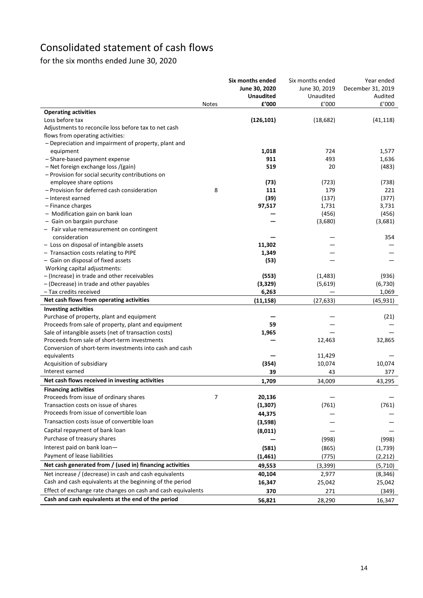# Consolidated statement of cash flows

for the six months ended June 30, 2020

| <b>Operating activities</b><br>Loss before tax<br>(126, 101)<br>(18, 682)<br>(41, 118)<br>Adjustments to reconcile loss before tax to net cash<br>flows from operating activities:<br>- Depreciation and impairment of property, plant and<br>equipment<br>1,018<br>724<br>1,577<br>- Share-based payment expense<br>911<br>493<br>1,636<br>519<br>- Net foreign exchange loss /(gain)<br>20<br>(483)<br>- Provision for social security contributions on<br>employee share options<br>(73)<br>(723)<br>(738)<br>- Provision for deferred cash consideration<br>8<br>111<br>179<br>221<br>(39)<br>(377)<br>- Interest earned<br>(137)<br>97,517<br>- Finance charges<br>1,731<br>3,731<br>- Modification gain on bank loan<br>(456)<br>(456)<br>- Gain on bargain purchase<br>(3,680)<br>(3,681)<br>- Fair value remeasurement on contingent<br>consideration<br>354<br>- Loss on disposal of intangible assets<br>11,302<br>1,349<br>- Transaction costs relating to PIPE<br>- Gain on disposal of fixed assets<br>(53)<br>Working capital adjustments:<br>- (Increase) in trade and other receivables<br>(553)<br>(1, 483)<br>(936)<br>(3, 329)<br>(6, 730)<br>- (Decrease) in trade and other payables<br>(5,619)<br>6,263<br>- Tax credits received<br>1,069<br>Net cash flows from operating activities<br>(27, 633)<br>(45, 931)<br>(11, 158)<br><b>Investing activities</b><br>Purchase of property, plant and equipment<br>(21)<br>Proceeds from sale of property, plant and equipment<br>59<br>Sale of intangible assets (net of transaction costs)<br>1,965<br>Proceeds from sale of short-term investments<br>32,865<br>12,463<br>Conversion of short-term investments into cash and cash<br>equivalents<br>11,429<br>Acquisition of subsidiary<br>(354)<br>10,074<br>10,074<br>Interest earned<br>39<br>43<br>377<br>Net cash flows received in investing activities<br>1,709<br>34,009<br>43,295<br><b>Financing activities</b><br>Proceeds from issue of ordinary shares<br>7<br>20,136<br>Transaction costs on issue of shares<br>(1, 307)<br>(761)<br>(761)<br>Proceeds from issue of convertible loan<br>44,375<br>Transaction costs issue of convertible loan<br>(3,598)<br>Capital repayment of bank loan<br>(8,011)<br>Purchase of treasury shares<br>(998)<br>(998)<br>Interest paid on bank loan-<br>(581)<br>(865)<br>(1,739)<br>Payment of lease liabilities<br>(1, 461)<br>(775)<br>(2, 212)<br>Net cash generated from / (used in) financing activities<br>49,553<br>(3, 399)<br>(5, 710)<br>Net increase / (decrease) in cash and cash equivalents<br>40,104<br>2,977<br>(8, 346)<br>Cash and cash equivalents at the beginning of the period<br>16,347<br>25,042<br>25,042<br>Effect of exchange rate changes on cash and cash equivalents<br>370<br>271<br>(349) |                                                    | <b>Notes</b> | <b>Six months ended</b><br>June 30, 2020<br><b>Unaudited</b><br>£'000 | Six months ended<br>June 30, 2019<br>Unaudited<br>E'000 | Year ended<br>December 31, 2019<br>Audited<br>£'000 |
|-----------------------------------------------------------------------------------------------------------------------------------------------------------------------------------------------------------------------------------------------------------------------------------------------------------------------------------------------------------------------------------------------------------------------------------------------------------------------------------------------------------------------------------------------------------------------------------------------------------------------------------------------------------------------------------------------------------------------------------------------------------------------------------------------------------------------------------------------------------------------------------------------------------------------------------------------------------------------------------------------------------------------------------------------------------------------------------------------------------------------------------------------------------------------------------------------------------------------------------------------------------------------------------------------------------------------------------------------------------------------------------------------------------------------------------------------------------------------------------------------------------------------------------------------------------------------------------------------------------------------------------------------------------------------------------------------------------------------------------------------------------------------------------------------------------------------------------------------------------------------------------------------------------------------------------------------------------------------------------------------------------------------------------------------------------------------------------------------------------------------------------------------------------------------------------------------------------------------------------------------------------------------------------------------------------------------------------------------------------------------------------------------------------------------------------------------------------------------------------------------------------------------------------------------------------------------------------------------------------------------------------------------------------------------------------------------------------------------------------------------------------------------------------------------|----------------------------------------------------|--------------|-----------------------------------------------------------------------|---------------------------------------------------------|-----------------------------------------------------|
|                                                                                                                                                                                                                                                                                                                                                                                                                                                                                                                                                                                                                                                                                                                                                                                                                                                                                                                                                                                                                                                                                                                                                                                                                                                                                                                                                                                                                                                                                                                                                                                                                                                                                                                                                                                                                                                                                                                                                                                                                                                                                                                                                                                                                                                                                                                                                                                                                                                                                                                                                                                                                                                                                                                                                                                               |                                                    |              |                                                                       |                                                         |                                                     |
|                                                                                                                                                                                                                                                                                                                                                                                                                                                                                                                                                                                                                                                                                                                                                                                                                                                                                                                                                                                                                                                                                                                                                                                                                                                                                                                                                                                                                                                                                                                                                                                                                                                                                                                                                                                                                                                                                                                                                                                                                                                                                                                                                                                                                                                                                                                                                                                                                                                                                                                                                                                                                                                                                                                                                                                               |                                                    |              |                                                                       |                                                         |                                                     |
|                                                                                                                                                                                                                                                                                                                                                                                                                                                                                                                                                                                                                                                                                                                                                                                                                                                                                                                                                                                                                                                                                                                                                                                                                                                                                                                                                                                                                                                                                                                                                                                                                                                                                                                                                                                                                                                                                                                                                                                                                                                                                                                                                                                                                                                                                                                                                                                                                                                                                                                                                                                                                                                                                                                                                                                               |                                                    |              |                                                                       |                                                         |                                                     |
|                                                                                                                                                                                                                                                                                                                                                                                                                                                                                                                                                                                                                                                                                                                                                                                                                                                                                                                                                                                                                                                                                                                                                                                                                                                                                                                                                                                                                                                                                                                                                                                                                                                                                                                                                                                                                                                                                                                                                                                                                                                                                                                                                                                                                                                                                                                                                                                                                                                                                                                                                                                                                                                                                                                                                                                               |                                                    |              |                                                                       |                                                         |                                                     |
|                                                                                                                                                                                                                                                                                                                                                                                                                                                                                                                                                                                                                                                                                                                                                                                                                                                                                                                                                                                                                                                                                                                                                                                                                                                                                                                                                                                                                                                                                                                                                                                                                                                                                                                                                                                                                                                                                                                                                                                                                                                                                                                                                                                                                                                                                                                                                                                                                                                                                                                                                                                                                                                                                                                                                                                               |                                                    |              |                                                                       |                                                         |                                                     |
|                                                                                                                                                                                                                                                                                                                                                                                                                                                                                                                                                                                                                                                                                                                                                                                                                                                                                                                                                                                                                                                                                                                                                                                                                                                                                                                                                                                                                                                                                                                                                                                                                                                                                                                                                                                                                                                                                                                                                                                                                                                                                                                                                                                                                                                                                                                                                                                                                                                                                                                                                                                                                                                                                                                                                                                               |                                                    |              |                                                                       |                                                         |                                                     |
|                                                                                                                                                                                                                                                                                                                                                                                                                                                                                                                                                                                                                                                                                                                                                                                                                                                                                                                                                                                                                                                                                                                                                                                                                                                                                                                                                                                                                                                                                                                                                                                                                                                                                                                                                                                                                                                                                                                                                                                                                                                                                                                                                                                                                                                                                                                                                                                                                                                                                                                                                                                                                                                                                                                                                                                               |                                                    |              |                                                                       |                                                         |                                                     |
|                                                                                                                                                                                                                                                                                                                                                                                                                                                                                                                                                                                                                                                                                                                                                                                                                                                                                                                                                                                                                                                                                                                                                                                                                                                                                                                                                                                                                                                                                                                                                                                                                                                                                                                                                                                                                                                                                                                                                                                                                                                                                                                                                                                                                                                                                                                                                                                                                                                                                                                                                                                                                                                                                                                                                                                               |                                                    |              |                                                                       |                                                         |                                                     |
|                                                                                                                                                                                                                                                                                                                                                                                                                                                                                                                                                                                                                                                                                                                                                                                                                                                                                                                                                                                                                                                                                                                                                                                                                                                                                                                                                                                                                                                                                                                                                                                                                                                                                                                                                                                                                                                                                                                                                                                                                                                                                                                                                                                                                                                                                                                                                                                                                                                                                                                                                                                                                                                                                                                                                                                               |                                                    |              |                                                                       |                                                         |                                                     |
|                                                                                                                                                                                                                                                                                                                                                                                                                                                                                                                                                                                                                                                                                                                                                                                                                                                                                                                                                                                                                                                                                                                                                                                                                                                                                                                                                                                                                                                                                                                                                                                                                                                                                                                                                                                                                                                                                                                                                                                                                                                                                                                                                                                                                                                                                                                                                                                                                                                                                                                                                                                                                                                                                                                                                                                               |                                                    |              |                                                                       |                                                         |                                                     |
|                                                                                                                                                                                                                                                                                                                                                                                                                                                                                                                                                                                                                                                                                                                                                                                                                                                                                                                                                                                                                                                                                                                                                                                                                                                                                                                                                                                                                                                                                                                                                                                                                                                                                                                                                                                                                                                                                                                                                                                                                                                                                                                                                                                                                                                                                                                                                                                                                                                                                                                                                                                                                                                                                                                                                                                               |                                                    |              |                                                                       |                                                         |                                                     |
|                                                                                                                                                                                                                                                                                                                                                                                                                                                                                                                                                                                                                                                                                                                                                                                                                                                                                                                                                                                                                                                                                                                                                                                                                                                                                                                                                                                                                                                                                                                                                                                                                                                                                                                                                                                                                                                                                                                                                                                                                                                                                                                                                                                                                                                                                                                                                                                                                                                                                                                                                                                                                                                                                                                                                                                               |                                                    |              |                                                                       |                                                         |                                                     |
|                                                                                                                                                                                                                                                                                                                                                                                                                                                                                                                                                                                                                                                                                                                                                                                                                                                                                                                                                                                                                                                                                                                                                                                                                                                                                                                                                                                                                                                                                                                                                                                                                                                                                                                                                                                                                                                                                                                                                                                                                                                                                                                                                                                                                                                                                                                                                                                                                                                                                                                                                                                                                                                                                                                                                                                               |                                                    |              |                                                                       |                                                         |                                                     |
|                                                                                                                                                                                                                                                                                                                                                                                                                                                                                                                                                                                                                                                                                                                                                                                                                                                                                                                                                                                                                                                                                                                                                                                                                                                                                                                                                                                                                                                                                                                                                                                                                                                                                                                                                                                                                                                                                                                                                                                                                                                                                                                                                                                                                                                                                                                                                                                                                                                                                                                                                                                                                                                                                                                                                                                               |                                                    |              |                                                                       |                                                         |                                                     |
|                                                                                                                                                                                                                                                                                                                                                                                                                                                                                                                                                                                                                                                                                                                                                                                                                                                                                                                                                                                                                                                                                                                                                                                                                                                                                                                                                                                                                                                                                                                                                                                                                                                                                                                                                                                                                                                                                                                                                                                                                                                                                                                                                                                                                                                                                                                                                                                                                                                                                                                                                                                                                                                                                                                                                                                               |                                                    |              |                                                                       |                                                         |                                                     |
|                                                                                                                                                                                                                                                                                                                                                                                                                                                                                                                                                                                                                                                                                                                                                                                                                                                                                                                                                                                                                                                                                                                                                                                                                                                                                                                                                                                                                                                                                                                                                                                                                                                                                                                                                                                                                                                                                                                                                                                                                                                                                                                                                                                                                                                                                                                                                                                                                                                                                                                                                                                                                                                                                                                                                                                               |                                                    |              |                                                                       |                                                         |                                                     |
|                                                                                                                                                                                                                                                                                                                                                                                                                                                                                                                                                                                                                                                                                                                                                                                                                                                                                                                                                                                                                                                                                                                                                                                                                                                                                                                                                                                                                                                                                                                                                                                                                                                                                                                                                                                                                                                                                                                                                                                                                                                                                                                                                                                                                                                                                                                                                                                                                                                                                                                                                                                                                                                                                                                                                                                               |                                                    |              |                                                                       |                                                         |                                                     |
|                                                                                                                                                                                                                                                                                                                                                                                                                                                                                                                                                                                                                                                                                                                                                                                                                                                                                                                                                                                                                                                                                                                                                                                                                                                                                                                                                                                                                                                                                                                                                                                                                                                                                                                                                                                                                                                                                                                                                                                                                                                                                                                                                                                                                                                                                                                                                                                                                                                                                                                                                                                                                                                                                                                                                                                               |                                                    |              |                                                                       |                                                         |                                                     |
|                                                                                                                                                                                                                                                                                                                                                                                                                                                                                                                                                                                                                                                                                                                                                                                                                                                                                                                                                                                                                                                                                                                                                                                                                                                                                                                                                                                                                                                                                                                                                                                                                                                                                                                                                                                                                                                                                                                                                                                                                                                                                                                                                                                                                                                                                                                                                                                                                                                                                                                                                                                                                                                                                                                                                                                               |                                                    |              |                                                                       |                                                         |                                                     |
|                                                                                                                                                                                                                                                                                                                                                                                                                                                                                                                                                                                                                                                                                                                                                                                                                                                                                                                                                                                                                                                                                                                                                                                                                                                                                                                                                                                                                                                                                                                                                                                                                                                                                                                                                                                                                                                                                                                                                                                                                                                                                                                                                                                                                                                                                                                                                                                                                                                                                                                                                                                                                                                                                                                                                                                               |                                                    |              |                                                                       |                                                         |                                                     |
|                                                                                                                                                                                                                                                                                                                                                                                                                                                                                                                                                                                                                                                                                                                                                                                                                                                                                                                                                                                                                                                                                                                                                                                                                                                                                                                                                                                                                                                                                                                                                                                                                                                                                                                                                                                                                                                                                                                                                                                                                                                                                                                                                                                                                                                                                                                                                                                                                                                                                                                                                                                                                                                                                                                                                                                               |                                                    |              |                                                                       |                                                         |                                                     |
|                                                                                                                                                                                                                                                                                                                                                                                                                                                                                                                                                                                                                                                                                                                                                                                                                                                                                                                                                                                                                                                                                                                                                                                                                                                                                                                                                                                                                                                                                                                                                                                                                                                                                                                                                                                                                                                                                                                                                                                                                                                                                                                                                                                                                                                                                                                                                                                                                                                                                                                                                                                                                                                                                                                                                                                               |                                                    |              |                                                                       |                                                         |                                                     |
|                                                                                                                                                                                                                                                                                                                                                                                                                                                                                                                                                                                                                                                                                                                                                                                                                                                                                                                                                                                                                                                                                                                                                                                                                                                                                                                                                                                                                                                                                                                                                                                                                                                                                                                                                                                                                                                                                                                                                                                                                                                                                                                                                                                                                                                                                                                                                                                                                                                                                                                                                                                                                                                                                                                                                                                               |                                                    |              |                                                                       |                                                         |                                                     |
|                                                                                                                                                                                                                                                                                                                                                                                                                                                                                                                                                                                                                                                                                                                                                                                                                                                                                                                                                                                                                                                                                                                                                                                                                                                                                                                                                                                                                                                                                                                                                                                                                                                                                                                                                                                                                                                                                                                                                                                                                                                                                                                                                                                                                                                                                                                                                                                                                                                                                                                                                                                                                                                                                                                                                                                               |                                                    |              |                                                                       |                                                         |                                                     |
|                                                                                                                                                                                                                                                                                                                                                                                                                                                                                                                                                                                                                                                                                                                                                                                                                                                                                                                                                                                                                                                                                                                                                                                                                                                                                                                                                                                                                                                                                                                                                                                                                                                                                                                                                                                                                                                                                                                                                                                                                                                                                                                                                                                                                                                                                                                                                                                                                                                                                                                                                                                                                                                                                                                                                                                               |                                                    |              |                                                                       |                                                         |                                                     |
|                                                                                                                                                                                                                                                                                                                                                                                                                                                                                                                                                                                                                                                                                                                                                                                                                                                                                                                                                                                                                                                                                                                                                                                                                                                                                                                                                                                                                                                                                                                                                                                                                                                                                                                                                                                                                                                                                                                                                                                                                                                                                                                                                                                                                                                                                                                                                                                                                                                                                                                                                                                                                                                                                                                                                                                               |                                                    |              |                                                                       |                                                         |                                                     |
|                                                                                                                                                                                                                                                                                                                                                                                                                                                                                                                                                                                                                                                                                                                                                                                                                                                                                                                                                                                                                                                                                                                                                                                                                                                                                                                                                                                                                                                                                                                                                                                                                                                                                                                                                                                                                                                                                                                                                                                                                                                                                                                                                                                                                                                                                                                                                                                                                                                                                                                                                                                                                                                                                                                                                                                               |                                                    |              |                                                                       |                                                         |                                                     |
|                                                                                                                                                                                                                                                                                                                                                                                                                                                                                                                                                                                                                                                                                                                                                                                                                                                                                                                                                                                                                                                                                                                                                                                                                                                                                                                                                                                                                                                                                                                                                                                                                                                                                                                                                                                                                                                                                                                                                                                                                                                                                                                                                                                                                                                                                                                                                                                                                                                                                                                                                                                                                                                                                                                                                                                               |                                                    |              |                                                                       |                                                         |                                                     |
|                                                                                                                                                                                                                                                                                                                                                                                                                                                                                                                                                                                                                                                                                                                                                                                                                                                                                                                                                                                                                                                                                                                                                                                                                                                                                                                                                                                                                                                                                                                                                                                                                                                                                                                                                                                                                                                                                                                                                                                                                                                                                                                                                                                                                                                                                                                                                                                                                                                                                                                                                                                                                                                                                                                                                                                               |                                                    |              |                                                                       |                                                         |                                                     |
|                                                                                                                                                                                                                                                                                                                                                                                                                                                                                                                                                                                                                                                                                                                                                                                                                                                                                                                                                                                                                                                                                                                                                                                                                                                                                                                                                                                                                                                                                                                                                                                                                                                                                                                                                                                                                                                                                                                                                                                                                                                                                                                                                                                                                                                                                                                                                                                                                                                                                                                                                                                                                                                                                                                                                                                               |                                                    |              |                                                                       |                                                         |                                                     |
|                                                                                                                                                                                                                                                                                                                                                                                                                                                                                                                                                                                                                                                                                                                                                                                                                                                                                                                                                                                                                                                                                                                                                                                                                                                                                                                                                                                                                                                                                                                                                                                                                                                                                                                                                                                                                                                                                                                                                                                                                                                                                                                                                                                                                                                                                                                                                                                                                                                                                                                                                                                                                                                                                                                                                                                               |                                                    |              |                                                                       |                                                         |                                                     |
|                                                                                                                                                                                                                                                                                                                                                                                                                                                                                                                                                                                                                                                                                                                                                                                                                                                                                                                                                                                                                                                                                                                                                                                                                                                                                                                                                                                                                                                                                                                                                                                                                                                                                                                                                                                                                                                                                                                                                                                                                                                                                                                                                                                                                                                                                                                                                                                                                                                                                                                                                                                                                                                                                                                                                                                               |                                                    |              |                                                                       |                                                         |                                                     |
|                                                                                                                                                                                                                                                                                                                                                                                                                                                                                                                                                                                                                                                                                                                                                                                                                                                                                                                                                                                                                                                                                                                                                                                                                                                                                                                                                                                                                                                                                                                                                                                                                                                                                                                                                                                                                                                                                                                                                                                                                                                                                                                                                                                                                                                                                                                                                                                                                                                                                                                                                                                                                                                                                                                                                                                               |                                                    |              |                                                                       |                                                         |                                                     |
|                                                                                                                                                                                                                                                                                                                                                                                                                                                                                                                                                                                                                                                                                                                                                                                                                                                                                                                                                                                                                                                                                                                                                                                                                                                                                                                                                                                                                                                                                                                                                                                                                                                                                                                                                                                                                                                                                                                                                                                                                                                                                                                                                                                                                                                                                                                                                                                                                                                                                                                                                                                                                                                                                                                                                                                               |                                                    |              |                                                                       |                                                         |                                                     |
|                                                                                                                                                                                                                                                                                                                                                                                                                                                                                                                                                                                                                                                                                                                                                                                                                                                                                                                                                                                                                                                                                                                                                                                                                                                                                                                                                                                                                                                                                                                                                                                                                                                                                                                                                                                                                                                                                                                                                                                                                                                                                                                                                                                                                                                                                                                                                                                                                                                                                                                                                                                                                                                                                                                                                                                               |                                                    |              |                                                                       |                                                         |                                                     |
|                                                                                                                                                                                                                                                                                                                                                                                                                                                                                                                                                                                                                                                                                                                                                                                                                                                                                                                                                                                                                                                                                                                                                                                                                                                                                                                                                                                                                                                                                                                                                                                                                                                                                                                                                                                                                                                                                                                                                                                                                                                                                                                                                                                                                                                                                                                                                                                                                                                                                                                                                                                                                                                                                                                                                                                               |                                                    |              |                                                                       |                                                         |                                                     |
|                                                                                                                                                                                                                                                                                                                                                                                                                                                                                                                                                                                                                                                                                                                                                                                                                                                                                                                                                                                                                                                                                                                                                                                                                                                                                                                                                                                                                                                                                                                                                                                                                                                                                                                                                                                                                                                                                                                                                                                                                                                                                                                                                                                                                                                                                                                                                                                                                                                                                                                                                                                                                                                                                                                                                                                               |                                                    |              |                                                                       |                                                         |                                                     |
|                                                                                                                                                                                                                                                                                                                                                                                                                                                                                                                                                                                                                                                                                                                                                                                                                                                                                                                                                                                                                                                                                                                                                                                                                                                                                                                                                                                                                                                                                                                                                                                                                                                                                                                                                                                                                                                                                                                                                                                                                                                                                                                                                                                                                                                                                                                                                                                                                                                                                                                                                                                                                                                                                                                                                                                               |                                                    |              |                                                                       |                                                         |                                                     |
|                                                                                                                                                                                                                                                                                                                                                                                                                                                                                                                                                                                                                                                                                                                                                                                                                                                                                                                                                                                                                                                                                                                                                                                                                                                                                                                                                                                                                                                                                                                                                                                                                                                                                                                                                                                                                                                                                                                                                                                                                                                                                                                                                                                                                                                                                                                                                                                                                                                                                                                                                                                                                                                                                                                                                                                               |                                                    |              |                                                                       |                                                         |                                                     |
|                                                                                                                                                                                                                                                                                                                                                                                                                                                                                                                                                                                                                                                                                                                                                                                                                                                                                                                                                                                                                                                                                                                                                                                                                                                                                                                                                                                                                                                                                                                                                                                                                                                                                                                                                                                                                                                                                                                                                                                                                                                                                                                                                                                                                                                                                                                                                                                                                                                                                                                                                                                                                                                                                                                                                                                               |                                                    |              |                                                                       |                                                         |                                                     |
|                                                                                                                                                                                                                                                                                                                                                                                                                                                                                                                                                                                                                                                                                                                                                                                                                                                                                                                                                                                                                                                                                                                                                                                                                                                                                                                                                                                                                                                                                                                                                                                                                                                                                                                                                                                                                                                                                                                                                                                                                                                                                                                                                                                                                                                                                                                                                                                                                                                                                                                                                                                                                                                                                                                                                                                               |                                                    |              |                                                                       |                                                         |                                                     |
|                                                                                                                                                                                                                                                                                                                                                                                                                                                                                                                                                                                                                                                                                                                                                                                                                                                                                                                                                                                                                                                                                                                                                                                                                                                                                                                                                                                                                                                                                                                                                                                                                                                                                                                                                                                                                                                                                                                                                                                                                                                                                                                                                                                                                                                                                                                                                                                                                                                                                                                                                                                                                                                                                                                                                                                               |                                                    |              |                                                                       |                                                         |                                                     |
|                                                                                                                                                                                                                                                                                                                                                                                                                                                                                                                                                                                                                                                                                                                                                                                                                                                                                                                                                                                                                                                                                                                                                                                                                                                                                                                                                                                                                                                                                                                                                                                                                                                                                                                                                                                                                                                                                                                                                                                                                                                                                                                                                                                                                                                                                                                                                                                                                                                                                                                                                                                                                                                                                                                                                                                               |                                                    |              |                                                                       |                                                         |                                                     |
|                                                                                                                                                                                                                                                                                                                                                                                                                                                                                                                                                                                                                                                                                                                                                                                                                                                                                                                                                                                                                                                                                                                                                                                                                                                                                                                                                                                                                                                                                                                                                                                                                                                                                                                                                                                                                                                                                                                                                                                                                                                                                                                                                                                                                                                                                                                                                                                                                                                                                                                                                                                                                                                                                                                                                                                               |                                                    |              |                                                                       |                                                         |                                                     |
|                                                                                                                                                                                                                                                                                                                                                                                                                                                                                                                                                                                                                                                                                                                                                                                                                                                                                                                                                                                                                                                                                                                                                                                                                                                                                                                                                                                                                                                                                                                                                                                                                                                                                                                                                                                                                                                                                                                                                                                                                                                                                                                                                                                                                                                                                                                                                                                                                                                                                                                                                                                                                                                                                                                                                                                               |                                                    |              |                                                                       |                                                         |                                                     |
|                                                                                                                                                                                                                                                                                                                                                                                                                                                                                                                                                                                                                                                                                                                                                                                                                                                                                                                                                                                                                                                                                                                                                                                                                                                                                                                                                                                                                                                                                                                                                                                                                                                                                                                                                                                                                                                                                                                                                                                                                                                                                                                                                                                                                                                                                                                                                                                                                                                                                                                                                                                                                                                                                                                                                                                               |                                                    |              |                                                                       |                                                         |                                                     |
|                                                                                                                                                                                                                                                                                                                                                                                                                                                                                                                                                                                                                                                                                                                                                                                                                                                                                                                                                                                                                                                                                                                                                                                                                                                                                                                                                                                                                                                                                                                                                                                                                                                                                                                                                                                                                                                                                                                                                                                                                                                                                                                                                                                                                                                                                                                                                                                                                                                                                                                                                                                                                                                                                                                                                                                               |                                                    |              |                                                                       |                                                         |                                                     |
|                                                                                                                                                                                                                                                                                                                                                                                                                                                                                                                                                                                                                                                                                                                                                                                                                                                                                                                                                                                                                                                                                                                                                                                                                                                                                                                                                                                                                                                                                                                                                                                                                                                                                                                                                                                                                                                                                                                                                                                                                                                                                                                                                                                                                                                                                                                                                                                                                                                                                                                                                                                                                                                                                                                                                                                               |                                                    |              |                                                                       |                                                         |                                                     |
|                                                                                                                                                                                                                                                                                                                                                                                                                                                                                                                                                                                                                                                                                                                                                                                                                                                                                                                                                                                                                                                                                                                                                                                                                                                                                                                                                                                                                                                                                                                                                                                                                                                                                                                                                                                                                                                                                                                                                                                                                                                                                                                                                                                                                                                                                                                                                                                                                                                                                                                                                                                                                                                                                                                                                                                               | Cash and cash equivalents at the end of the period |              | 56,821                                                                | 28,290                                                  | 16,347                                              |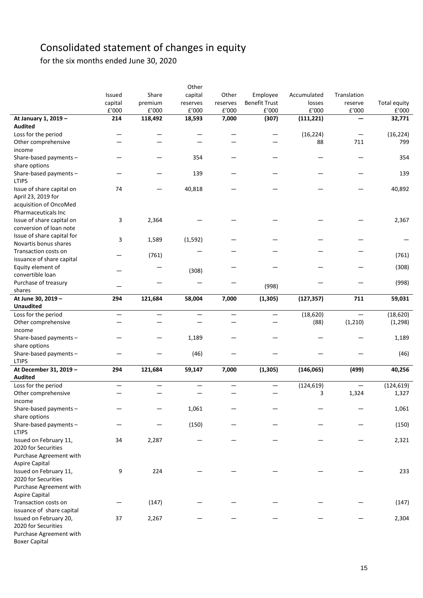# Consolidated statement of changes in equity

for the six months ended June 30, 2020

|                            |                   |                          | Other                    |          |                      |                      |                      |                     |
|----------------------------|-------------------|--------------------------|--------------------------|----------|----------------------|----------------------|----------------------|---------------------|
|                            | Issued            | Share                    | capital                  | Other    | Employee             | Accumulated          | Translation          |                     |
|                            | capital           | premium                  | reserves                 | reserves | <b>Benefit Trust</b> | losses               | reserve              | <b>Total equity</b> |
|                            | £'000             | £'000                    | $\texttt{f}'000$         | £'000    | £'000                | $\rm{f}^{\prime}000$ | $\rm{f}^{\prime}000$ | £'000               |
| At January 1, 2019 -       | 214               | 118,492                  | 18,593                   | 7,000    | (307)                | (111, 221)           |                      | 32,771              |
| <b>Audited</b>             |                   |                          |                          |          |                      |                      |                      |                     |
| Loss for the period        |                   |                          |                          |          |                      | (16, 224)            |                      | (16, 224)           |
| Other comprehensive        |                   |                          |                          |          |                      | 88                   | 711                  | 799                 |
| income                     |                   |                          |                          |          |                      |                      |                      |                     |
| Share-based payments -     |                   |                          | 354                      |          |                      |                      |                      | 354                 |
| share options              |                   |                          |                          |          |                      |                      |                      |                     |
| Share-based payments -     |                   |                          | 139                      |          |                      |                      |                      | 139                 |
| <b>LTIPS</b>               |                   |                          |                          |          |                      |                      |                      |                     |
| Issue of share capital on  | 74                |                          | 40,818                   |          |                      |                      |                      | 40,892              |
| April 23, 2019 for         |                   |                          |                          |          |                      |                      |                      |                     |
| acquisition of OncoMed     |                   |                          |                          |          |                      |                      |                      |                     |
| Pharmaceuticals Inc        |                   |                          |                          |          |                      |                      |                      |                     |
|                            |                   |                          |                          |          |                      |                      |                      |                     |
| Issue of share capital on  | 3                 | 2,364                    |                          |          |                      |                      |                      | 2,367               |
| conversion of loan note    |                   |                          |                          |          |                      |                      |                      |                     |
| Issue of share capital for | 3                 | 1,589                    | (1, 592)                 |          |                      |                      |                      |                     |
| Novartis bonus shares      |                   |                          |                          |          |                      |                      |                      |                     |
| Transaction costs on       |                   | (761)                    |                          |          |                      |                      |                      | (761)               |
| issuance of share capital  |                   |                          |                          |          |                      |                      |                      |                     |
| Equity element of          |                   |                          | (308)                    |          |                      |                      |                      | (308)               |
| convertible loan           |                   |                          |                          |          |                      |                      |                      |                     |
| Purchase of treasury       |                   |                          |                          |          | (998)                |                      |                      | (998)               |
| shares                     |                   |                          |                          |          |                      |                      |                      |                     |
| At June 30, 2019 -         | 294               | 121,684                  | 58,004                   | 7,000    | (1, 305)             | (127, 357)           | 711                  | 59,031              |
| <b>Unaudited</b>           |                   |                          |                          |          |                      |                      |                      |                     |
| Loss for the period        |                   |                          |                          |          |                      | (18, 620)            |                      | (18, 620)           |
| Other comprehensive        |                   |                          |                          |          |                      | (88)                 | (1, 210)             | (1, 298)            |
| income                     |                   |                          |                          |          |                      |                      |                      |                     |
| Share-based payments -     |                   |                          | 1,189                    |          |                      |                      |                      | 1,189               |
| share options              |                   |                          |                          |          |                      |                      |                      |                     |
| Share-based payments -     |                   |                          | (46)                     |          |                      |                      |                      | (46)                |
| <b>LTIPS</b>               |                   |                          |                          |          |                      |                      |                      |                     |
| At December 31, 2019 -     | 294               | 121,684                  | 59,147                   | 7,000    | (1, 305)             | (146, 065)           | (499)                | 40,256              |
| <b>Audited</b>             |                   |                          |                          |          |                      |                      |                      |                     |
| Loss for the period        | $\qquad \qquad -$ | $\overline{\phantom{0}}$ | $\overline{\phantom{0}}$ | —        | —                    | (124, 619)           |                      | (124, 619)          |
| Other comprehensive        |                   |                          |                          |          |                      | 3                    | 1,324                | 1,327               |
| income                     |                   |                          |                          |          |                      |                      |                      |                     |
| Share-based payments -     |                   |                          | 1,061                    |          |                      |                      |                      | 1,061               |
| share options              |                   |                          |                          |          |                      |                      |                      |                     |
| Share-based payments -     |                   |                          | (150)                    |          |                      |                      |                      | (150)               |
| <b>LTIPS</b>               |                   |                          |                          |          |                      |                      |                      |                     |
| Issued on February 11,     | 34                | 2,287                    |                          |          |                      |                      |                      | 2,321               |
| 2020 for Securities        |                   |                          |                          |          |                      |                      |                      |                     |
| Purchase Agreement with    |                   |                          |                          |          |                      |                      |                      |                     |
| <b>Aspire Capital</b>      |                   |                          |                          |          |                      |                      |                      |                     |
| Issued on February 11,     | 9                 | 224                      |                          |          |                      |                      |                      | 233                 |
| 2020 for Securities        |                   |                          |                          |          |                      |                      |                      |                     |
| Purchase Agreement with    |                   |                          |                          |          |                      |                      |                      |                     |
| Aspire Capital             |                   |                          |                          |          |                      |                      |                      |                     |
| Transaction costs on       |                   | (147)                    |                          |          |                      |                      |                      | (147)               |
| issuance of share capital  |                   |                          |                          |          |                      |                      |                      |                     |
| Issued on February 20,     | 37                | 2,267                    |                          |          |                      |                      |                      | 2,304               |
| 2020 for Securities        |                   |                          |                          |          |                      |                      |                      |                     |
| Purchase Agreement with    |                   |                          |                          |          |                      |                      |                      |                     |
| <b>Boxer Capital</b>       |                   |                          |                          |          |                      |                      |                      |                     |
|                            |                   |                          |                          |          |                      |                      |                      |                     |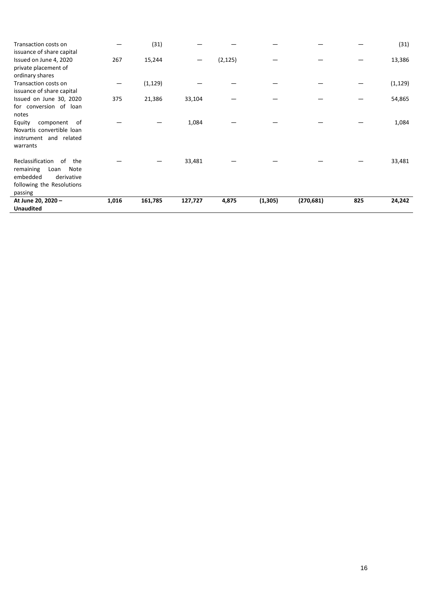| Transaction costs on<br>issuance of share capital                                                                            |       | (31)     |         |          |          |            |     | (31)     |
|------------------------------------------------------------------------------------------------------------------------------|-------|----------|---------|----------|----------|------------|-----|----------|
| Issued on June 4, 2020<br>private placement of<br>ordinary shares                                                            | 267   | 15,244   |         | (2, 125) |          |            |     | 13,386   |
| Transaction costs on<br>issuance of share capital                                                                            |       | (1, 129) |         |          |          |            |     | (1, 129) |
| Issued on June 30, 2020<br>for conversion of loan<br>notes                                                                   | 375   | 21,386   | 33,104  |          |          |            |     | 54,865   |
| Equity<br>component of<br>Novartis convertible loan<br>instrument and related<br>warrants                                    |       |          | 1,084   |          |          |            |     | 1,084    |
| Reclassification<br>of<br>the<br>remaining<br>Loan<br>Note<br>embedded<br>derivative<br>following the Resolutions<br>passing |       |          | 33,481  |          |          |            |     | 33,481   |
| At June 20, 2020 -<br><b>Unaudited</b>                                                                                       | 1,016 | 161,785  | 127,727 | 4,875    | (1, 305) | (270, 681) | 825 | 24,242   |

l,

j.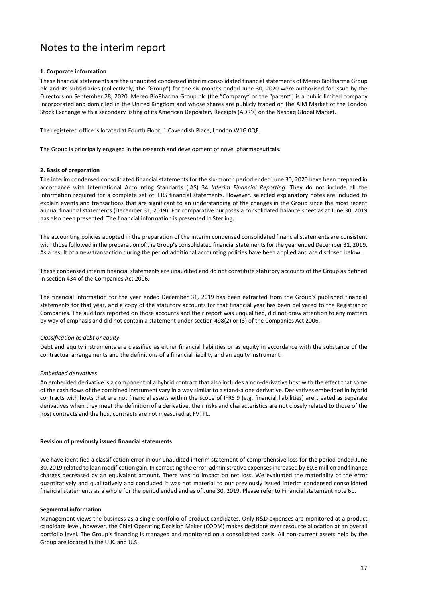# Notes to the interim report

## **1. Corporate information**

These financial statements are the unaudited condensed interim consolidated financial statements of Mereo BioPharma Group plc and its subsidiaries (collectively, the "Group") for the six months ended June 30, 2020 were authorised for issue by the Directors on September 28, 2020. Mereo BioPharma Group plc (the "Company" or the "parent") is a public limited company incorporated and domiciled in the United Kingdom and whose shares are publicly traded on the AIM Market of the London Stock Exchange with a secondary listing of its American Depositary Receipts (ADR's) on the Nasdaq Global Market.

The registered office is located at Fourth Floor, 1 Cavendish Place, London W1G 0QF.

The Group is principally engaged in the research and development of novel pharmaceuticals.

## **2. Basis of preparation**

The interim condensed consolidated financial statements for the six-month period ended June 30, 2020 have been prepared in accordance with International Accounting Standards (IAS) 34 *Interim Financial Reporting*. They do not include all the information required for a complete set of IFRS financial statements. However, selected explanatory notes are included to explain events and transactions that are significant to an understanding of the changes in the Group since the most recent annual financial statements (December 31, 2019). For comparative purposes a consolidated balance sheet as at June 30, 2019 has also been presented. The financial information is presented in Sterling.

The accounting policies adopted in the preparation of the interim condensed consolidated financial statements are consistent with those followed in the preparation of the Group's consolidated financial statements for the year ended December 31, 2019. As a result of a new transaction during the period additional accounting policies have been applied and are disclosed below.

These condensed interim financial statements are unaudited and do not constitute statutory accounts of the Group as defined in section 434 of the Companies Act 2006.

The financial information for the year ended December 31, 2019 has been extracted from the Group's published financial statements for that year, and a copy of the statutory accounts for that financial year has been delivered to the Registrar of Companies. The auditors reported on those accounts and their report was unqualified, did not draw attention to any matters by way of emphasis and did not contain a statement under section 498(2) or (3) of the Companies Act 2006.

## *Classification as debt or equity*

Debt and equity instruments are classified as either financial liabilities or as equity in accordance with the substance of the contractual arrangements and the definitions of a financial liability and an equity instrument.

## *Embedded derivatives*

An embedded derivative is a component of a hybrid contract that also includes a non-derivative host with the effect that some of the cash flows of the combined instrument vary in a way similar to a stand-alone derivative. Derivatives embedded in hybrid contracts with hosts that are not financial assets within the scope of IFRS 9 (e.g. financial liabilities) are treated as separate derivatives when they meet the definition of a derivative, their risks and characteristics are not closely related to those of the host contracts and the host contracts are not measured at FVTPL.

## **Revision of previously issued financial statements**

We have identified a classification error in our unaudited interim statement of comprehensive loss for the period ended June 30, 2019 related to loan modification gain. In correcting the error, administrative expenses increased by £0.5 million and finance charges decreased by an equivalent amount. There was no impact on net loss. We evaluated the materiality of the error quantitatively and qualitatively and concluded it was not material to our previously issued interim condensed consolidated financial statements as a whole for the period ended and as of June 30, 2019. Please refer to Financial statement note 6b.

## **Segmental information**

Management views the business as a single portfolio of product candidates. Only R&D expenses are monitored at a product candidate level, however, the Chief Operating Decision Maker (CODM) makes decisions over resource allocation at an overall portfolio level. The Group's financing is managed and monitored on a consolidated basis. All non-current assets held by the Group are located in the U.K. and U.S.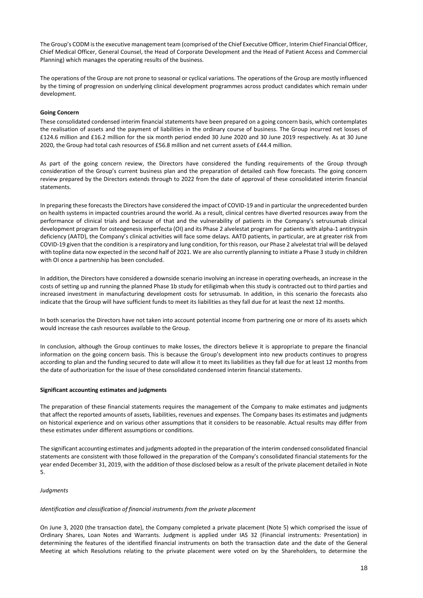The Group's CODM is the executive management team (comprised of the Chief Executive Officer, Interim Chief Financial Officer, Chief Medical Officer, General Counsel, the Head of Corporate Development and the Head of Patient Access and Commercial Planning) which manages the operating results of the business.

The operations of the Group are not prone to seasonal or cyclical variations. The operations of the Group are mostly influenced by the timing of progression on underlying clinical development programmes across product candidates which remain under development.

## **Going Concern**

These consolidated condensed interim financial statements have been prepared on a going concern basis, which contemplates the realisation of assets and the payment of liabilities in the ordinary course of business. The Group incurred net losses of £124.6 million and £16.2 million for the six month period ended 30 June 2020 and 30 June 2019 respectively. As at 30 June 2020, the Group had total cash resources of £56.8 million and net current assets of £44.4 million.

As part of the going concern review, the Directors have considered the funding requirements of the Group through consideration of the Group's current business plan and the preparation of detailed cash flow forecasts. The going concern review prepared by the Directors extends through to 2022 from the date of approval of these consolidated interim financial statements.

In preparing these forecasts the Directors have considered the impact of COVID-19 and in particular the unprecedented burden on health systems in impacted countries around the world. As a result, clinical centres have diverted resources away from the performance of clinical trials and because of that and the vulnerability of patients in the Company's setrusumab clinical development program for osteogenesis imperfecta (OI) and its Phase 2 alvelestat program for patients with alpha-1 antitrypsin deficiency (AATD), the Company's clinical activities will face some delays. AATD patients, in particular, are at greater risk from COVID-19 given that the condition is a respiratory and lung condition, for this reason, our Phase 2 alvelestat trial will be delayed with topline data now expected in the second half of 2021. We are also currently planning to initiate a Phase 3 study in children with OI once a partnership has been concluded.

In addition, the Directors have considered a downside scenario involving an increase in operating overheads, an increase in the costs of setting up and running the planned Phase 1b study for etiligimab when this study is contracted out to third parties and increased investment in manufacturing development costs for setrusumab. In addition, in this scenario the forecasts also indicate that the Group will have sufficient funds to meet its liabilities as they fall due for at least the next 12 months.

In both scenarios the Directors have not taken into account potential income from partnering one or more of its assets which would increase the cash resources available to the Group.

In conclusion, although the Group continues to make losses, the directors believe it is appropriate to prepare the financial information on the going concern basis. This is because the Group's development into new products continues to progress according to plan and the funding secured to date will allow it to meet its liabilities as they fall due for at least 12 months from the date of authorization for the issue of these consolidated condensed interim financial statements.

## **Significant accounting estimates and judgments**

The preparation of these financial statements requires the management of the Company to make estimates and judgments that affect the reported amounts of assets, liabilities, revenues and expenses. The Company bases its estimates and judgments on historical experience and on various other assumptions that it considers to be reasonable. Actual results may differ from these estimates under different assumptions or conditions.

The significant accounting estimates and judgments adopted in the preparation of the interim condensed consolidated financial statements are consistent with those followed in the preparation of the Company's consolidated financial statements for the year ended December 31, 2019, with the addition of those disclosed below as a result of the private placement detailed in Note 5.

## *Judgments*

## *Identification and classification of financial instruments from the private placement*

On June 3, 2020 (the transaction date), the Company completed a private placement (Note 5) which comprised the issue of Ordinary Shares, Loan Notes and Warrants. Judgment is applied under IAS 32 (Financial instruments: Presentation) in determining the features of the identified financial instruments on both the transaction date and the date of the General Meeting at which Resolutions relating to the private placement were voted on by the Shareholders, to determine the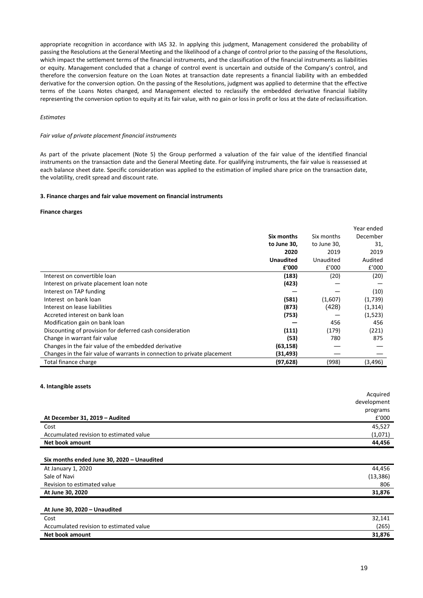appropriate recognition in accordance with IAS 32. In applying this judgment, Management considered the probability of passing the Resolutions at the General Meeting and the likelihood of a change of control prior to the passing of the Resolutions, which impact the settlement terms of the financial instruments, and the classification of the financial instruments as liabilities or equity. Management concluded that a change of control event is uncertain and outside of the Company's control, and therefore the conversion feature on the Loan Notes at transaction date represents a financial liability with an embedded derivative for the conversion option. On the passing of the Resolutions, judgment was applied to determine that the effective terms of the Loans Notes changed, and Management elected to reclassify the embedded derivative financial liability representing the conversion option to equity at its fair value, with no gain or loss in profit or loss at the date of reclassification.

## *Estimates*

#### *Fair value of private placement financial instruments*

As part of the private placement (Note 5) the Group performed a valuation of the fair value of the identified financial instruments on the transaction date and the General Meeting date. For qualifying instruments, the fair value is reassessed at each balance sheet date. Specific consideration was applied to the estimation of implied share price on the transaction date, the volatility, credit spread and discount rate.

#### **3. Finance charges and fair value movement on financial instruments**

#### **Finance charges**

|                                                                          |                  |             | Year ended |
|--------------------------------------------------------------------------|------------------|-------------|------------|
|                                                                          | Six months       | Six months  | December   |
|                                                                          | to June 30,      | to June 30, | 31,        |
|                                                                          | 2020             | 2019        | 2019       |
|                                                                          | <b>Unaudited</b> | Unaudited   | Audited    |
|                                                                          | £'000            | £'000       | £'000      |
| Interest on convertible loan                                             | (183)            | (20)        | (20)       |
| Interest on private placement loan note                                  | (423)            |             |            |
| Interest on TAP funding                                                  |                  |             | (10)       |
| Interest on bank loan                                                    | (581)            | (1,607)     | (1,739)    |
| Interest on lease liabilities                                            | (873)            | (428)       | (1, 314)   |
| Accreted interest on bank loan                                           | (753)            |             | (1,523)    |
| Modification gain on bank loan                                           |                  | 456         | 456        |
| Discounting of provision for deferred cash consideration                 | (111)            | (179)       | (221)      |
| Change in warrant fair value                                             | (53)             | 780         | 875        |
| Changes in the fair value of the embedded derivative                     | (63, 158)        |             |            |
| Changes in the fair value of warrants in connection to private placement | (31, 493)        |             |            |
| Total finance charge                                                     | (97, 628)        | (998)       | (3,496)    |

## **4. Intangible assets**

|                                         | Acquired    |
|-----------------------------------------|-------------|
|                                         | development |
|                                         | programs    |
| At December 31, 2019 - Audited          | E'000       |
| Cost                                    | 45,527      |
| Accumulated revision to estimated value | (1,071)     |
| Net book amount                         | 44.456      |

#### **Six months ended June 30, 2020 – Unaudited**

| At January 1, 2020          | 44.456    |
|-----------------------------|-----------|
| Sale of Navi                | (13, 386) |
| Revision to estimated value | 806       |
| At June 30, 2020            | 31,876    |
|                             |           |

## **At June 30, 2020 – Unaudited**

| Cost                                    | 32.141 |
|-----------------------------------------|--------|
| Accumulated revision to estimated value | (265)  |
| Net book amount                         | 31,876 |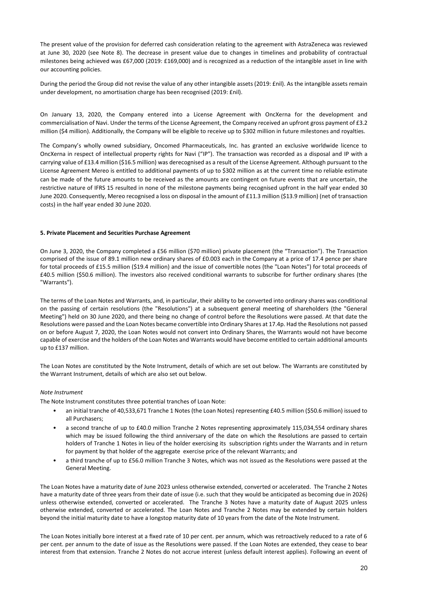The present value of the provision for deferred cash consideration relating to the agreement with AstraZeneca was reviewed at June 30, 2020 (see Note 8). The decrease in present value due to changes in timelines and probability of contractual milestones being achieved was £67,000 (2019: £169,000) and is recognized as a reduction of the intangible asset in line with our accounting policies.

During the period the Group did not revise the value of any other intangible assets (2019: £nil). As the intangible assets remain under development, no amortisation charge has been recognised (2019: £nil).

On January 13, 2020, the Company entered into a License Agreement with OncXerna for the development and commercialisation of Navi. Under the terms of the License Agreement, the Company received an upfront gross payment of £3.2 million (\$4 million). Additionally, the Company will be eligible to receive up to \$302 million in future milestones and royalties.

The Company's wholly owned subsidiary, Oncomed Pharmaceuticals, Inc. has granted an exclusive worldwide licence to OncXerna in respect of intellectual property rights for Navi ("IP"). The transaction was recorded as a disposal and IP with a carrying value of £13.4 million (\$16.5 million) was derecognised as a result of the License Agreement. Although pursuant to the License Agreement Mereo is entitled to additional payments of up to \$302 million as at the current time no reliable estimate can be made of the future amounts to be received as the amounts are contingent on future events that are uncertain, the restrictive nature of IFRS 15 resulted in none of the milestone payments being recognised upfront in the half year ended 30 June 2020. Consequently, Mereo recognised a loss on disposal in the amount of £11.3 million (\$13.9 million) (net of transaction costs) in the half year ended 30 June 2020.

## **5. Private Placement and Securities Purchase Agreement**

On June 3, 2020, the Company completed a £56 million (\$70 million) private placement (the "Transaction"). The Transaction comprised of the issue of 89.1 million new ordinary shares of £0.003 each in the Company at a price of 17.4 pence per share for total proceeds of £15.5 million (\$19.4 million) and the issue of convertible notes (the "Loan Notes") for total proceeds of £40.5 million (\$50.6 million). The investors also received conditional warrants to subscribe for further ordinary shares (the "Warrants").

The terms of the Loan Notes and Warrants, and, in particular, their ability to be converted into ordinary shares was conditional on the passing of certain resolutions (the "Resolutions") at a subsequent general meeting of shareholders (the "General Meeting") held on 30 June 2020, and there being no change of control before the Resolutions were passed. At that date the Resolutions were passed and the Loan Notes became convertible into Ordinary Shares at 17.4p. Had the Resolutions not passed on or before August 7, 2020, the Loan Notes would not convert into Ordinary Shares, the Warrants would not have become capable of exercise and the holders of the Loan Notes and Warrants would have become entitled to certain additional amounts up to £137 million.

The Loan Notes are constituted by the Note Instrument, details of which are set out below. The Warrants are constituted by the Warrant Instrument, details of which are also set out below.

#### *Note Instrument*

The Note Instrument constitutes three potential tranches of Loan Note:

- an initial tranche of 40,533,671 Tranche 1 Notes (the Loan Notes) representing £40.5 million (\$50.6 million) issued to all Purchasers;
- a second tranche of up to £40.0 million Tranche 2 Notes representing approximately 115,034,554 ordinary shares which may be issued following the third anniversary of the date on which the Resolutions are passed to certain holders of Tranche 1 Notes in lieu of the holder exercising its subscription rights under the Warrants and in return for payment by that holder of the aggregate exercise price of the relevant Warrants; and
- a third tranche of up to £56.0 million Tranche 3 Notes, which was not issued as the Resolutions were passed at the General Meeting.

The Loan Notes have a maturity date of June 2023 unless otherwise extended, converted or accelerated. The Tranche 2 Notes have a maturity date of three years from their date of issue (i.e. such that they would be anticipated as becoming due in 2026) unless otherwise extended, converted or accelerated. The Tranche 3 Notes have a maturity date of August 2025 unless otherwise extended, converted or accelerated. The Loan Notes and Tranche 2 Notes may be extended by certain holders beyond the initial maturity date to have a longstop maturity date of 10 years from the date of the Note Instrument.

The Loan Notes initially bore interest at a fixed rate of 10 per cent. per annum, which was retroactively reduced to a rate of 6 per cent. per annum to the date of issue as the Resolutions were passed. If the Loan Notes are extended, they cease to bear interest from that extension. Tranche 2 Notes do not accrue interest (unless default interest applies). Following an event of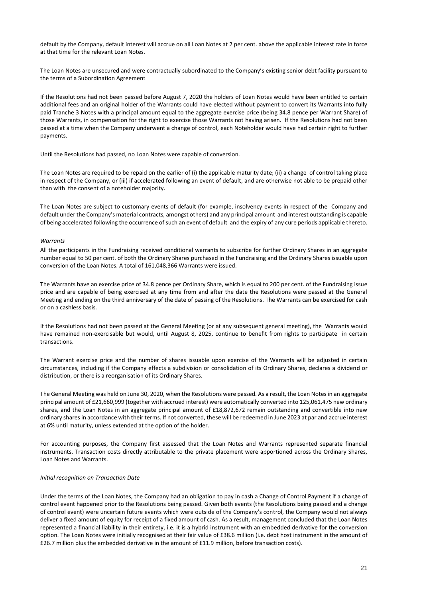default by the Company, default interest will accrue on all Loan Notes at 2 per cent. above the applicable interest rate in force at that time for the relevant Loan Notes.

The Loan Notes are unsecured and were contractually subordinated to the Company's existing senior debt facility pursuant to the terms of a Subordination Agreement

If the Resolutions had not been passed before August 7, 2020 the holders of Loan Notes would have been entitled to certain additional fees and an original holder of the Warrants could have elected without payment to convert its Warrants into fully paid Tranche 3 Notes with a principal amount equal to the aggregate exercise price (being 34.8 pence per Warrant Share) of those Warrants, in compensation for the right to exercise those Warrants not having arisen. If the Resolutions had not been passed at a time when the Company underwent a change of control, each Noteholder would have had certain right to further payments.

Until the Resolutions had passed, no Loan Notes were capable of conversion.

The Loan Notes are required to be repaid on the earlier of (i) the applicable maturity date; (ii) a change of control taking place in respect of the Company, or (iii) if accelerated following an event of default, and are otherwise not able to be prepaid other than with the consent of a noteholder majority.

The Loan Notes are subject to customary events of default (for example, insolvency events in respect of the Company and default under the Company's material contracts, amongst others) and any principal amount and interest outstanding is capable of being accelerated following the occurrence of such an event of default and the expiry of any cure periods applicable thereto.

#### *Warrants*

All the participants in the Fundraising received conditional warrants to subscribe for further Ordinary Shares in an aggregate number equal to 50 per cent. of both the Ordinary Shares purchased in the Fundraising and the Ordinary Shares issuable upon conversion of the Loan Notes. A total of 161,048,366 Warrants were issued.

The Warrants have an exercise price of 34.8 pence per Ordinary Share, which is equal to 200 per cent. of the Fundraising issue price and are capable of being exercised at any time from and after the date the Resolutions were passed at the General Meeting and ending on the third anniversary of the date of passing of the Resolutions. The Warrants can be exercised for cash or on a cashless basis.

If the Resolutions had not been passed at the General Meeting (or at any subsequent general meeting), the Warrants would have remained non-exercisable but would, until August 8, 2025, continue to benefit from rights to participate in certain transactions.

The Warrant exercise price and the number of shares issuable upon exercise of the Warrants will be adjusted in certain circumstances, including if the Company effects a subdivision or consolidation of its Ordinary Shares, declares a dividend or distribution, or there is a reorganisation of its Ordinary Shares.

The General Meeting was held on June 30, 2020, when the Resolutions were passed. As a result, the Loan Notes in an aggregate principal amount of £21,660,999 (together with accrued interest) were automatically converted into 125,061,475 new ordinary shares, and the Loan Notes in an aggregate principal amount of £18,872,672 remain outstanding and convertible into new ordinary shares in accordance with their terms. If not converted, these will be redeemed in June 2023 at par and accrue interest at 6% until maturity, unless extended at the option of the holder.

For accounting purposes, the Company first assessed that the Loan Notes and Warrants represented separate financial instruments. Transaction costs directly attributable to the private placement were apportioned across the Ordinary Shares, Loan Notes and Warrants.

#### *Initial recognition on Transaction Date*

Under the terms of the Loan Notes, the Company had an obligation to pay in cash a Change of Control Payment if a change of control event happened prior to the Resolutions being passed. Given both events (the Resolutions being passed and a change of control event) were uncertain future events which were outside of the Company's control, the Company would not always deliver a fixed amount of equity for receipt of a fixed amount of cash. As a result, management concluded that the Loan Notes represented a financial liability in their entirety, i.e. it is a hybrid instrument with an embedded derivative for the conversion option. The Loan Notes were initially recognised at their fair value of £38.6 million (i.e. debt host instrument in the amount of £26.7 million plus the embedded derivative in the amount of £11.9 million, before transaction costs).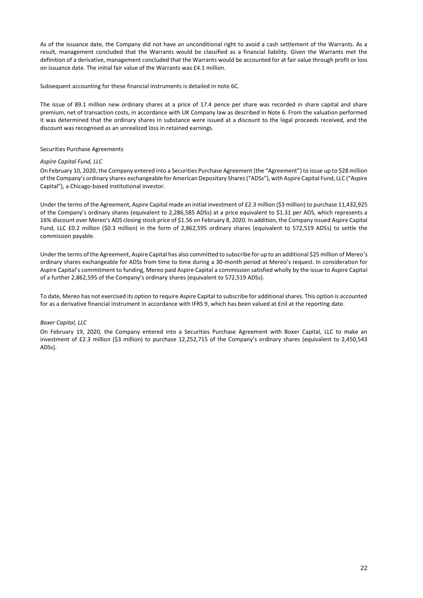As of the issuance date, the Company did not have an unconditional right to avoid a cash settlement of the Warrants. As a result, management concluded that the Warrants would be classified as a financial liability. Given the Warrants met the definition of a derivative, management concluded that the Warrants would be accounted for at fair value through profit or loss on issuance date. The initial fair value of the Warrants was £4.1 million.

Subsequent accounting for these financial instruments is detailed in note 6C.

The issue of 89.1 million new ordinary shares at a price of 17.4 pence per share was recorded in share capital and share premium, net of transaction costs, in accordance with UK Company law as described in Note 6. From the valuation performed it was determined that the ordinary shares in substance were issued at a discount to the legal proceeds received, and the discount was recognised as an unrealized loss in retained earnings.

## Securities Purchase Agreements

## *Aspire Capital Fund, LLC*

On February 10, 2020, the Company entered into a Securities Purchase Agreement (the "Agreement") to issue up to \$28 million of the Company's ordinary shares exchangeable for American Depositary Shares ("ADSs"), with Aspire Capital Fund, LLC ("Aspire Capital"), a Chicago-based institutional investor.

Under the terms of the Agreement, Aspire Capital made an initial investment of £2.3 million (\$3 million) to purchase 11,432,925 of the Company's ordinary shares (equivalent to 2,286,585 ADSs) at a price equivalent to \$1.31 per ADS, which represents a 16% discount over Mereo's ADS closing stock price of \$1.56 on February 8, 2020. In addition, the Company issued Aspire Capital Fund, LLC £0.2 million (\$0.3 million) in the form of 2,862,595 ordinary shares (equivalent to 572,519 ADSs) to settle the commission payable.

Under the terms of the Agreement, Aspire Capital has also committed to subscribe for up to an additional \$25 million of Mereo's ordinary shares exchangeable for ADSs from time to time during a 30-month period at Mereo's request. In consideration for Aspire Capital's commitment to funding, Mereo paid Aspire Capital a commission satisfied wholly by the issue to Aspire Capital of a further 2,862,595 of the Company's ordinary shares (equivalent to 572,519 ADSs).

To date, Mereo has not exercised its option to require Aspire Capital to subscribe for additional shares. This option is accounted for as a derivative financial instrument in accordance with IFRS 9, which has been valued at £nil at the reporting date.

## *Boxer Capital, LLC*

On February 19, 2020, the Company entered into a Securities Purchase Agreement with Boxer Capital, LLC to make an investment of £2.3 million (\$3 million) to purchase 12,252,715 of the Company's ordinary shares (equivalent to 2,450,543 ADSs).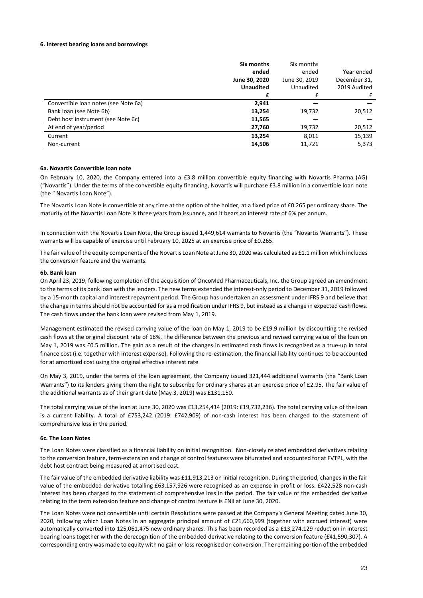## **6. Interest bearing loans and borrowings**

|                                      | Six months       | Six months    |              |
|--------------------------------------|------------------|---------------|--------------|
|                                      | ended            | ended         | Year ended   |
|                                      | June 30, 2020    | June 30, 2019 | December 31, |
|                                      | <b>Unaudited</b> | Unaudited     | 2019 Audited |
|                                      | £                |               | £            |
| Convertible Ioan notes (see Note 6a) | 2,941            |               |              |
| Bank loan (see Note 6b)              | 13,254           | 19,732        | 20,512       |
| Debt host instrument (see Note 6c)   | 11,565           |               |              |
| At end of year/period                | 27,760           | 19,732        | 20,512       |
| Current                              | 13,254           | 8,011         | 15,139       |
| Non-current                          | 14,506           | 11,721        | 5,373        |

## **6a. Novartis Convertible loan note**

On February 10, 2020, the Company entered into a £3.8 million convertible equity financing with Novartis Pharma (AG) ("Novartis"). Under the terms of the convertible equity financing, Novartis will purchase £3.8 million in a convertible loan note (the " Novartis Loan Note").

The Novartis Loan Note is convertible at any time at the option of the holder, at a fixed price of £0.265 per ordinary share. The maturity of the Novartis Loan Note is three years from issuance, and it bears an interest rate of 6% per annum.

In connection with the Novartis Loan Note, the Group issued 1,449,614 warrants to Novartis (the "Novartis Warrants"). These warrants will be capable of exercise until February 10, 2025 at an exercise price of £0.265.

The fair value of the equity components of the Novartis Loan Note at June 30, 2020 was calculated as £1.1 million which includes the conversion feature and the warrants.

#### **6b. Bank loan**

On April 23, 2019, following completion of the acquisition of OncoMed Pharmaceuticals, Inc. the Group agreed an amendment to the terms of its bank loan with the lenders. The new terms extended the interest-only period to December 31, 2019 followed by a 15-month capital and interest repayment period. The Group has undertaken an assessment under IFRS 9 and believe that the change in terms should not be accounted for as a modification under IFRS 9, but instead as a change in expected cash flows. The cash flows under the bank loan were revised from May 1, 2019.

Management estimated the revised carrying value of the loan on May 1, 2019 to be £19.9 million by discounting the revised cash flows at the original discount rate of 18%. The difference between the previous and revised carrying value of the loan on May 1, 2019 was £0.5 million. The gain as a result of the changes in estimated cash flows is recognized as a true-up in total finance cost (i.e. together with interest expense). Following the re-estimation, the financial liability continues to be accounted for at amortized cost using the original effective interest rate

On May 3, 2019, under the terms of the loan agreement, the Company issued 321,444 additional warrants (the "Bank Loan Warrants") to its lenders giving them the right to subscribe for ordinary shares at an exercise price of £2.95. The fair value of the additional warrants as of their grant date (May 3, 2019) was £131,150.

The total carrying value of the loan at June 30, 2020 was £13,254,414 (2019: £19,732,236). The total carrying value of the loan is a current liability. A total of £753,242 (2019: £742,909) of non-cash interest has been charged to the statement of comprehensive loss in the period.

## **6c. The Loan Notes**

The Loan Notes were classified as a financial liability on initial recognition. Non-closely related embedded derivatives relating to the conversion feature, term-extension and change of control features were bifurcated and accounted for at FVTPL, with the debt host contract being measured at amortised cost.

The fair value of the embedded derivative liability was £11,913,213 on initial recognition. During the period, changes in the fair value of the embedded derivative totalling £63,157,926 were recognised as an expense in profit or loss. £422,528 non-cash interest has been charged to the statement of comprehensive loss in the period. The fair value of the embedded derivative relating to the term extension feature and change of control feature is £Nil at June 30, 2020.

The Loan Notes were not convertible until certain Resolutions were passed at the Company's General Meeting dated June 30, 2020, following which Loan Notes in an aggregate principal amount of £21,660,999 (together with accrued interest) were automatically converted into 125,061,475 new ordinary shares. This has been recorded as a £13,274,129 reduction in interest bearing loans together with the derecognition of the embedded derivative relating to the conversion feature (£41,590,307). A corresponding entry was made to equity with no gain or loss recognised on conversion. The remaining portion of the embedded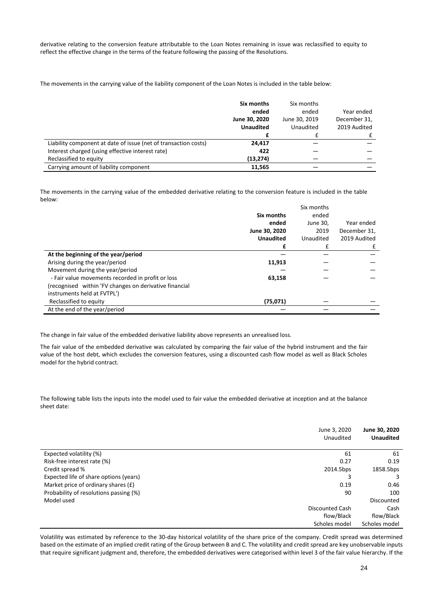derivative relating to the conversion feature attributable to the Loan Notes remaining in issue was reclassified to equity to reflect the effective change in the terms of the feature following the passing of the Resolutions.

The movements in the carrying value of the liability component of the Loan Notes is included in the table below:

|                                                                 | Six months<br>ended<br>June 30, 2020 | Six months<br>ended<br>June 30, 2019 | Year ended<br>December 31, |
|-----------------------------------------------------------------|--------------------------------------|--------------------------------------|----------------------------|
|                                                                 | <b>Unaudited</b>                     | Unaudited                            | 2019 Audited               |
|                                                                 |                                      |                                      |                            |
| Liability component at date of issue (net of transaction costs) | 24,417                               |                                      |                            |
| Interest charged (using effective interest rate)                | 422                                  |                                      |                            |
| Reclassified to equity                                          | (13, 274)                            |                                      |                            |
| Carrying amount of liability component                          | 11,565                               |                                      |                            |

The movements in the carrying value of the embedded derivative relating to the conversion feature is included in the table below:

|                                                        |                  | Six months |              |
|--------------------------------------------------------|------------------|------------|--------------|
|                                                        | Six months       | ended      |              |
|                                                        | ended            | June 30,   | Year ended   |
|                                                        | June 30, 2020    | 2019       | December 31, |
|                                                        | <b>Unaudited</b> | Unaudited  | 2019 Audited |
|                                                        | £                | £          | £            |
| At the beginning of the year/period                    |                  |            |              |
| Arising during the year/period                         | 11,913           |            |              |
| Movement during the year/period                        |                  |            |              |
| - Fair value movements recorded in profit or loss      | 63,158           |            |              |
| (recognised within 'FV changes on derivative financial |                  |            |              |
| instruments held at FVTPL')                            |                  |            |              |
| Reclassified to equity                                 | (75,071)         |            |              |
| At the end of the year/period                          |                  |            |              |

The change in fair value of the embedded derivative liability above represents an unrealised loss.

The fair value of the embedded derivative was calculated by comparing the fair value of the hybrid instrument and the fair value of the host debt, which excludes the conversion features, using a discounted cash flow model as well as Black Scholes model for the hybrid contract.

The following table lists the inputs into the model used to fair value the embedded derivative at inception and at the balance sheet date:

|                                        | June 3, 2020           | June 30, 2020    |
|----------------------------------------|------------------------|------------------|
|                                        | Unaudited              | <b>Unaudited</b> |
|                                        | 61                     | 61               |
| Expected volatility (%)                |                        |                  |
| Risk-free interest rate (%)            | 0.27                   | 0.19             |
| Credit spread %                        | 2014.5bps              | 1858.5bps        |
| Expected life of share options (years) |                        | 3                |
| Market price of ordinary shares $(E)$  | 0.19                   | 0.46             |
| Probability of resolutions passing (%) | 90                     | 100              |
| Model used                             |                        | Discounted       |
|                                        | <b>Discounted Cash</b> | Cash             |
|                                        | flow/Black             | flow/Black       |
|                                        | Scholes model          | Scholes model    |

Volatility was estimated by reference to the 30-day historical volatility of the share price of the company. Credit spread was determined based on the estimate of an implied credit rating of the Group between B and C. The volatility and credit spread are key unobservable inputs that require significant judgment and, therefore, the embedded derivatives were categorised within level 3 of the fair value hierarchy. If the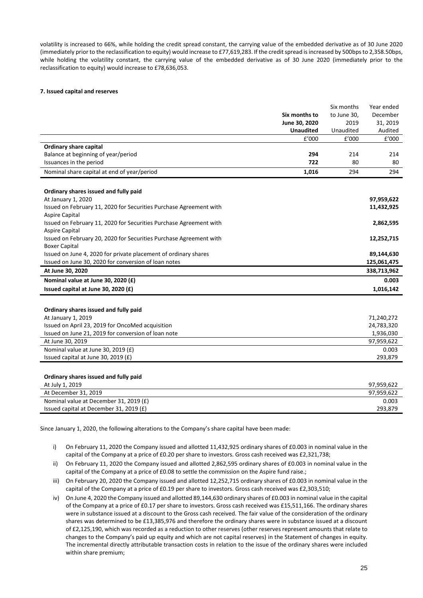volatility is increased to 66%, while holding the credit spread constant, the carrying value of the embedded derivative as of 30 June 2020 (immediately prior to the reclassification to equity) would increase to £77,619,283. If the credit spread is increased by 500bps to 2,358.50bps, while holding the volatility constant, the carrying value of the embedded derivative as of 30 June 2020 (immediately prior to the reclassification to equity) would increase to £78,636,053.

## **7. Issued capital and reserves**

|                                                                    |                  | Six months  | Year ended  |
|--------------------------------------------------------------------|------------------|-------------|-------------|
|                                                                    | Six months to    | to June 30. | December    |
|                                                                    | June 30, 2020    | 2019        | 31, 2019    |
|                                                                    | <b>Unaudited</b> | Unaudited   | Audited     |
|                                                                    | f'000            | f'000       | f'000       |
| <b>Ordinary share capital</b>                                      |                  |             |             |
| Balance at beginning of year/period                                | 294              | 214         | 214         |
| Issuances in the period                                            | 722              | 80          | 80          |
| Nominal share capital at end of year/period                        | 1,016            | 294         | 294         |
|                                                                    |                  |             |             |
| Ordinary shares issued and fully paid                              |                  |             |             |
| At January 1, 2020                                                 |                  |             | 97,959,622  |
| Issued on February 11, 2020 for Securities Purchase Agreement with |                  |             | 11,432,925  |
| Aspire Capital                                                     |                  |             |             |
| Issued on February 11, 2020 for Securities Purchase Agreement with |                  |             | 2,862,595   |
| Aspire Capital                                                     |                  |             |             |
| Issued on February 20, 2020 for Securities Purchase Agreement with |                  |             | 12,252,715  |
| <b>Boxer Capital</b>                                               |                  |             |             |
| Issued on June 4, 2020 for private placement of ordinary shares    |                  |             | 89,144,630  |
| Issued on June 30, 2020 for conversion of loan notes               |                  |             | 125,061,475 |
| At June 30, 2020                                                   |                  |             | 338,713,962 |
| Nominal value at June 30, 2020 (£)                                 |                  |             | 0.003       |
| Issued capital at June 30, 2020 (£)                                |                  |             | 1,016,142   |
|                                                                    |                  |             |             |

| 71,240,272 |
|------------|
| 24,783,320 |
| 1,936,030  |
| 97,959,622 |
| 0.003      |
| 293.879    |
|            |

#### **Ordinary shares issued and fully paid**

| At July 1, 2019                           | 97.959.622 |
|-------------------------------------------|------------|
| At December 31, 2019                      | 97.959.622 |
| Nominal value at December 31, 2019 (£)    | 0.003      |
| Issued capital at December 31, 2019 $(E)$ | 293.879    |

Since January 1, 2020, the following alterations to the Company's share capital have been made:

- i) On February 11, 2020 the Company issued and allotted 11,432,925 ordinary shares of £0.003 in nominal value in the capital of the Company at a price of £0.20 per share to investors. Gross cash received was £2,321,738;
- ii) On February 11, 2020 the Company issued and allotted 2,862,595 ordinary shares of £0.003 in nominal value in the capital of the Company at a price of £0.08 to settle the commission on the Aspire fund raise.;
- iii) On February 20, 2020 the Company issued and allotted 12,252,715 ordinary shares of £0.003 in nominal value in the capital of the Company at a price of £0.19 per share to investors. Gross cash received was £2,303,510;
- iv) On June 4, 2020 the Company issued and allotted 89,144,630 ordinary shares of £0.003 in nominal value in the capital of the Company at a price of £0.17 per share to investors. Gross cash received was £15,511,166. The ordinary shares were in substance issued at a discount to the Gross cash received. The fair value of the consideration of the ordinary shares was determined to be £13,385,976 and therefore the ordinary shares were in substance issued at a discount of £2,125,190, which was recorded as a reduction to other reserves (other reserves represent amounts that relate to changes to the Company's paid up equity and which are not capital reserves) in the Statement of changes in equity. The incremental directly attributable transaction costs in relation to the issue of the ordinary shares were included within share premium;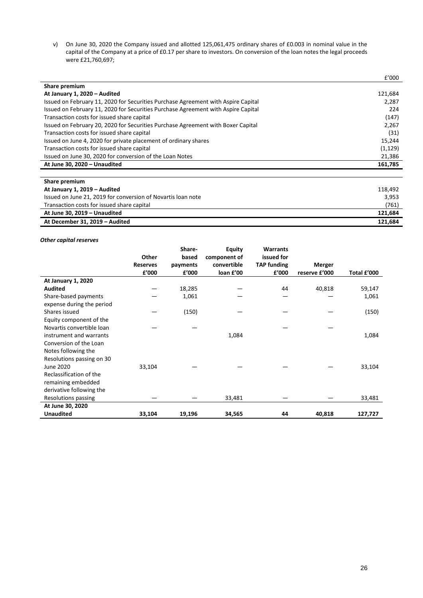v) On June 30, 2020 the Company issued and allotted 125,061,475 ordinary shares of £0.003 in nominal value in the capital of the Company at a price of £0.17 per share to investors. On conversion of the loan notes the legal proceeds were £21,760,697;

|                                                                                   | £'000                |
|-----------------------------------------------------------------------------------|----------------------|
| Share premium                                                                     |                      |
| At January 1, 2020 - Audited                                                      | 121,684              |
| Issued on February 11, 2020 for Securities Purchase Agreement with Aspire Capital | 2,287                |
| Issued on February 11, 2020 for Securities Purchase Agreement with Aspire Capital | 224                  |
| Transaction costs for issued share capital                                        | (147)                |
| Issued on February 20, 2020 for Securities Purchase Agreement with Boxer Capital  | 2,267                |
| Transaction costs for issued share capital                                        | (31)                 |
| Issued on June 4, 2020 for private placement of ordinary shares                   | 15,244               |
| Transaction costs for issued share capital                                        | (1, 129)             |
| Issued on June 30, 2020 for conversion of the Loan Notes                          | 21,386               |
| At June 30, 2020 - Unaudited                                                      | 161,785              |
|                                                                                   |                      |
| Share premium                                                                     |                      |
| At January 1, 2019 - Audited                                                      | 118,492              |
|                                                                                   | $\sim$ $\sim$ $\sim$ |

| Issued on June 21, 2019 for conversion of Novartis loan note | 3,953   |
|--------------------------------------------------------------|---------|
| Transaction costs for issued share capital                   | (761)   |
| At June 30. 2019 – Unaudited                                 | 121.684 |
|                                                              |         |

## *Other capital reserves*

|                                                   |                 | Share-   | <b>Equity</b> | <b>Warrants</b>    |               |             |
|---------------------------------------------------|-----------------|----------|---------------|--------------------|---------------|-------------|
|                                                   | Other           | based    | component of  | issued for         |               |             |
|                                                   | <b>Reserves</b> | payments | convertible   | <b>TAP</b> funding | Merger        |             |
|                                                   | £'000           | £'000    | loan £'00     | £'000              | reserve £'000 | Total £'000 |
| <b>At January 1, 2020</b>                         |                 |          |               |                    |               |             |
| <b>Audited</b>                                    |                 | 18,285   |               | 44                 | 40,818        | 59,147      |
| Share-based payments<br>expense during the period |                 | 1,061    |               |                    |               | 1,061       |
| Shares issued                                     |                 | (150)    |               |                    |               | (150)       |
| Equity component of the                           |                 |          |               |                    |               |             |
| Novartis convertible loan                         |                 |          |               |                    |               |             |
| instrument and warrants                           |                 |          | 1,084         |                    |               | 1,084       |
| Conversion of the Loan                            |                 |          |               |                    |               |             |
| Notes following the                               |                 |          |               |                    |               |             |
| Resolutions passing on 30                         |                 |          |               |                    |               |             |
| June 2020                                         | 33,104          |          |               |                    |               | 33,104      |
| Reclassification of the                           |                 |          |               |                    |               |             |
| remaining embedded                                |                 |          |               |                    |               |             |
| derivative following the                          |                 |          |               |                    |               |             |
| Resolutions passing                               |                 |          | 33,481        |                    |               | 33,481      |
| At June 30, 2020                                  |                 |          |               |                    |               |             |
| <b>Unaudited</b>                                  | 33,104          | 19,196   | 34,565        | 44                 | 40,818        | 127,727     |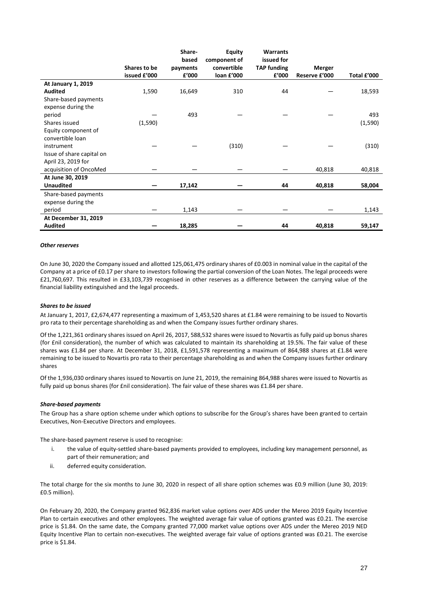|                           |              | Share-   | <b>Equity</b> | <b>Warrants</b>    |               |             |
|---------------------------|--------------|----------|---------------|--------------------|---------------|-------------|
|                           |              | based    | component of  | issued for         |               |             |
|                           | Shares to be | payments | convertible   | <b>TAP</b> funding | Merger        |             |
|                           | issued £'000 | £'000    | loan £'000    | £'000              | Reserve £'000 | Total £'000 |
| At January 1, 2019        |              |          |               |                    |               |             |
| <b>Audited</b>            | 1,590        | 16,649   | 310           | 44                 |               | 18,593      |
| Share-based payments      |              |          |               |                    |               |             |
| expense during the        |              |          |               |                    |               |             |
| period                    |              | 493      |               |                    |               | 493         |
| Shares issued             | (1,590)      |          |               |                    |               | (1,590)     |
| Equity component of       |              |          |               |                    |               |             |
| convertible loan          |              |          |               |                    |               |             |
| instrument                |              |          | (310)         |                    |               | (310)       |
| Issue of share capital on |              |          |               |                    |               |             |
| April 23, 2019 for        |              |          |               |                    |               |             |
| acquisition of OncoMed    |              |          |               |                    | 40,818        | 40,818      |
| At June 30, 2019          |              |          |               |                    |               |             |
| <b>Unaudited</b>          |              | 17,142   |               | 44                 | 40,818        | 58,004      |
| Share-based payments      |              |          |               |                    |               |             |
| expense during the        |              |          |               |                    |               |             |
| period                    |              | 1,143    |               |                    |               | 1,143       |
| At December 31, 2019      |              |          |               |                    |               |             |
| <b>Audited</b>            |              | 18,285   |               | 44                 | 40,818        | 59,147      |

#### *Other reserves*

On June 30, 2020 the Company issued and allotted 125,061,475 ordinary shares of £0.003 in nominal value in the capital of the Company at a price of £0.17 per share to investors following the partial conversion of the Loan Notes. The legal proceeds were £21,760,697. This resulted in £33,103,739 recognised in other reserves as a difference between the carrying value of the financial liability extinguished and the legal proceeds.

#### *Shares to be issued*

At January 1, 2017, £2,674,477 representing a maximum of 1,453,520 shares at £1.84 were remaining to be issued to Novartis pro rata to their percentage shareholding as and when the Company issues further ordinary shares.

Of the 1,221,361 ordinary shares issued on April 26, 2017, 588,532 shares were issued to Novartis as fully paid up bonus shares (for £nil consideration), the number of which was calculated to maintain its shareholding at 19.5%. The fair value of these shares was £1.84 per share. At December 31, 2018, £1,591,578 representing a maximum of 864,988 shares at £1.84 were remaining to be issued to Novartis pro rata to their percentage shareholding as and when the Company issues further ordinary shares

Of the 1,936,030 ordinary shares issued to Novartis on June 21, 2019, the remaining 864,988 shares were issued to Novartis as fully paid up bonus shares (for £nil consideration). The fair value of these shares was £1.84 per share.

#### *Share-based payments*

The Group has a share option scheme under which options to subscribe for the Group's shares have been granted to certain Executives, Non-Executive Directors and employees.

The share-based payment reserve is used to recognise:

- i. the value of equity-settled share-based payments provided to employees, including key management personnel, as part of their remuneration; and
- ii. deferred equity consideration.

The total charge for the six months to June 30, 2020 in respect of all share option schemes was £0.9 million (June 30, 2019: £0.5 million).

On February 20, 2020, the Company granted 962,836 market value options over ADS under the Mereo 2019 Equity Incentive Plan to certain executives and other employees. The weighted average fair value of options granted was £0.21. The exercise price is \$1.84. On the same date, the Company granted 77,000 market value options over ADS under the Mereo 2019 NED Equity Incentive Plan to certain non-executives. The weighted average fair value of options granted was £0.21. The exercise price is \$1.84.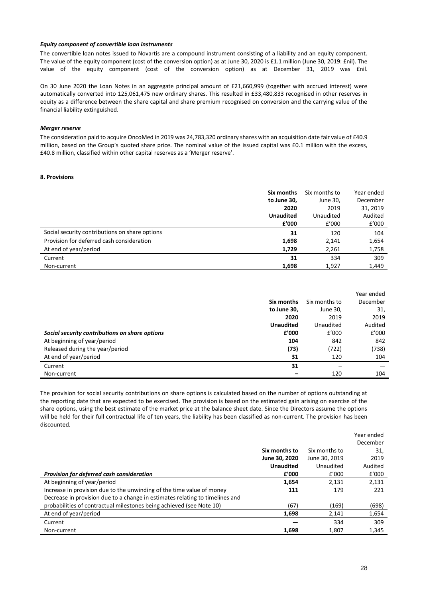## *Equity component of convertible loan instruments*

The convertible loan notes issued to Novartis are a compound instrument consisting of a liability and an equity component. The value of the equity component (cost of the conversion option) as at June 30, 2020 is £1.1 million (June 30, 2019: £nil). The value of the equity component (cost of the conversion option) as at December 31, 2019 was £nil.

On 30 June 2020 the Loan Notes in an aggregate principal amount of £21,660,999 (together with accrued interest) were automatically converted into 125,061,475 new ordinary shares. This resulted in £33,480,833 recognised in other reserves in equity as a difference between the share capital and share premium recognised on conversion and the carrying value of the financial liability extinguished.

## *Merger reserve*

The consideration paid to acquire OncoMed in 2019 was 24,783,320 ordinary shares with an acquisition date fair value of £40.9 million, based on the Group's quoted share price. The nominal value of the issued capital was £0.1 million with the excess, £40.8 million, classified within other capital reserves as a 'Merger reserve'.

## **8. Provisions**

|                                                | Six months       | Six months to | Year ended |
|------------------------------------------------|------------------|---------------|------------|
|                                                | to June 30,      | June 30,      | December   |
|                                                | 2020             | 2019          | 31, 2019   |
|                                                | <b>Unaudited</b> | Unaudited     | Audited    |
|                                                | f'000            | £'000         | £'000      |
| Social security contributions on share options | 31               | 120           | 104        |
| Provision for deferred cash consideration      | 1,698            | 2,141         | 1,654      |
| At end of year/period                          | 1,729            | 2,261         | 1,758      |
| Current                                        | 31               | 334           | 309        |
| Non-current                                    | 1,698            | 1,927         | 1,449      |

|                                                |                  |               | Year ended |
|------------------------------------------------|------------------|---------------|------------|
|                                                | Six months       | Six months to | December   |
|                                                | to June 30,      | June 30,      | 31,        |
|                                                | 2020             | 2019          | 2019       |
|                                                | <b>Unaudited</b> | Unaudited     | Audited    |
| Social security contributions on share options | £'000            | f'000         | £'000      |
| At beginning of year/period                    | 104              | 842           | 842        |
| Released during the year/period                | (73)             | (722)         | (738)      |
| At end of year/period                          | 31               | 120           | 104        |
| Current                                        | 31               |               |            |
| Non-current                                    |                  | 120           | 104        |

The provision for social security contributions on share options is calculated based on the number of options outstanding at the reporting date that are expected to be exercised. The provision is based on the estimated gain arising on exercise of the share options, using the best estimate of the market price at the balance sheet date. Since the Directors assume the options will be held for their full contractual life of ten years, the liability has been classified as non-current. The provision has been discounted.

|                                                                              |                  |               | Year ended |
|------------------------------------------------------------------------------|------------------|---------------|------------|
|                                                                              |                  |               | December   |
|                                                                              | Six months to    | Six months to | 31,        |
|                                                                              | June 30, 2020    | June 30, 2019 | 2019       |
|                                                                              | <b>Unaudited</b> | Unaudited     | Audited    |
| Provision for deferred cash consideration                                    | f'000            | £'000         | £'000      |
| At beginning of year/period                                                  | 1,654            | 2,131         | 2,131      |
| Increase in provision due to the unwinding of the time value of money        | 111              | 179           | 221        |
| Decrease in provision due to a change in estimates relating to timelines and |                  |               |            |
| probabilities of contractual milestones being achieved (see Note 10)         | (67)             | (169)         | (698)      |
| At end of year/period                                                        | 1,698            | 2,141         | 1,654      |
| Current                                                                      |                  | 334           | 309        |
| Non-current                                                                  | 1,698            | 1,807         | 1,345      |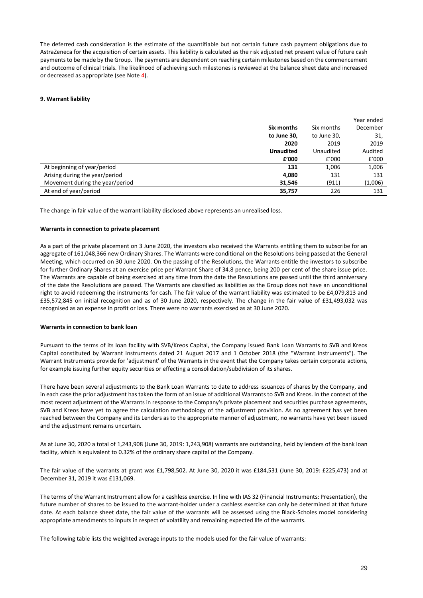The deferred cash consideration is the estimate of the quantifiable but not certain future cash payment obligations due to AstraZeneca for the acquisition of certain assets. This liability is calculated as the risk adjusted net present value of future cash payments to be made by the Group. The payments are dependent on reaching certain milestones based on the commencement and outcome of clinical trials. The likelihood of achieving such milestones is reviewed at the balance sheet date and increased or decreased as appropriate (see Note 4).

## **9. Warrant liability**

|                                 |                  |             | Year ended |
|---------------------------------|------------------|-------------|------------|
|                                 | Six months       | Six months  | December   |
|                                 | to June 30,      | to June 30, | 31,        |
|                                 | 2020             | 2019        | 2019       |
|                                 | <b>Unaudited</b> | Unaudited   | Audited    |
|                                 | £'000            | £'000       | £'000      |
| At beginning of year/period     | 131              | 1,006       | 1,006      |
| Arising during the year/period  | 4,080            | 131         | 131        |
| Movement during the year/period | 31,546           | (911)       | (1,006)    |
| At end of year/period           | 35,757           | 226         | 131        |

The change in fair value of the warrant liability disclosed above represents an unrealised loss.

## **Warrants in connection to private placement**

As a part of the private placement on 3 June 2020, the investors also received the Warrants entitling them to subscribe for an aggregate of 161,048,366 new Ordinary Shares. The Warrants were conditional on the Resolutions being passed at the General Meeting, which occurred on 30 June 2020. On the passing of the Resolutions, the Warrants entitle the investors to subscribe for further Ordinary Shares at an exercise price per Warrant Share of 34.8 pence, being 200 per cent of the share issue price. The Warrants are capable of being exercised at any time from the date the Resolutions are passed until the third anniversary of the date the Resolutions are passed. The Warrants are classified as liabilities as the Group does not have an unconditional right to avoid redeeming the instruments for cash. The fair value of the warrant liability was estimated to be £4,079,813 and £35,572,845 on initial recognition and as of 30 June 2020, respectively. The change in the fair value of £31,493,032 was recognised as an expense in profit or loss. There were no warrants exercised as at 30 June 2020.

## **Warrants in connection to bank loan**

Pursuant to the terms of its loan facility with SVB/Kreos Capital, the Company issued Bank Loan Warrants to SVB and Kreos Capital constituted by Warrant Instruments dated 21 August 2017 and 1 October 2018 (the "Warrant Instruments"). The Warrant Instruments provide for 'adjustment' of the Warrants in the event that the Company takes certain corporate actions, for example issuing further equity securities or effecting a consolidation/subdivision of its shares.

There have been several adjustments to the Bank Loan Warrants to date to address issuances of shares by the Company, and in each case the prior adjustment has taken the form of an issue of additional Warrants to SVB and Kreos. In the context of the most recent adjustment of the Warrants in response to the Company's private placement and securities purchase agreements, SVB and Kreos have yet to agree the calculation methodology of the adjustment provision. As no agreement has yet been reached between the Company and its Lenders as to the appropriate manner of adjustment, no warrants have yet been issued and the adjustment remains uncertain.

As at June 30, 2020 a total of 1,243,908 (June 30, 2019: 1,243,908) warrants are outstanding, held by lenders of the bank loan facility, which is equivalent to 0.32% of the ordinary share capital of the Company.

The fair value of the warrants at grant was £1,798,502. At June 30, 2020 it was £184,531 (June 30, 2019: £225,473) and at December 31, 2019 it was £131,069.

The terms of the Warrant Instrument allow for a cashless exercise. In line with IAS 32 (Financial Instruments: Presentation), the future number of shares to be issued to the warrant-holder under a cashless exercise can only be determined at that future date. At each balance sheet date, the fair value of the warrants will be assessed using the Black-Scholes model considering appropriate amendments to inputs in respect of volatility and remaining expected life of the warrants.

The following table lists the weighted average inputs to the models used for the fair value of warrants: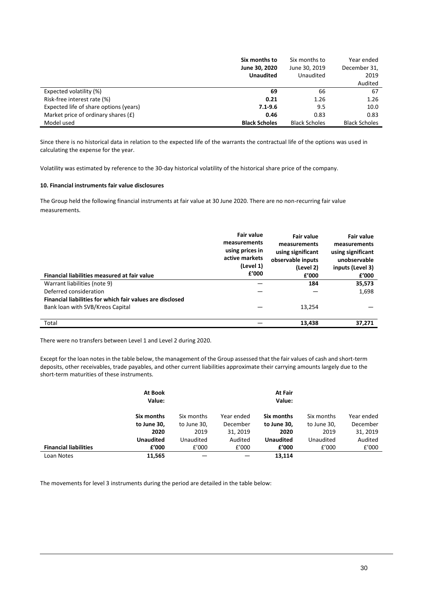|                                        | Six months to        | Six months to        | Year ended           |
|----------------------------------------|----------------------|----------------------|----------------------|
|                                        | June 30, 2020        | June 30, 2019        | December 31,         |
|                                        | <b>Unaudited</b>     | Unaudited            | 2019                 |
|                                        |                      |                      | Audited              |
| Expected volatility (%)                | 69                   | 66                   | 67                   |
| Risk-free interest rate (%)            | 0.21                 | 1.26                 | 1.26                 |
| Expected life of share options (years) | $7.1 - 9.6$          | 9.5                  | 10.0                 |
| Market price of ordinary shares $(E)$  | 0.46                 | 0.83                 | 0.83                 |
| Model used                             | <b>Black Scholes</b> | <b>Black Scholes</b> | <b>Black Scholes</b> |

Since there is no historical data in relation to the expected life of the warrants the contractual life of the options was used in calculating the expense for the year.

Volatility was estimated by reference to the 30-day historical volatility of the historical share price of the company.

## **10. Financial instruments fair value disclosures**

The Group held the following financial instruments at fair value at 30 June 2020. There are no non-recurring fair value measurements.

| Financial liabilities measured at fair value              | <b>Fair value</b><br>measurements<br>using prices in<br>active markets<br>(Level 1)<br>f'000 | <b>Fair value</b><br>measurements<br>using significant<br>observable inputs<br>(Level 2)<br>f'000 | <b>Fair value</b><br>measurements<br>using significant<br>unobservable<br>inputs (Level 3)<br>£'000 |
|-----------------------------------------------------------|----------------------------------------------------------------------------------------------|---------------------------------------------------------------------------------------------------|-----------------------------------------------------------------------------------------------------|
| Warrant liabilities (note 9)                              |                                                                                              | 184                                                                                               | 35,573                                                                                              |
| Deferred consideration                                    |                                                                                              |                                                                                                   | 1,698                                                                                               |
| Financial liabilities for which fair values are disclosed |                                                                                              |                                                                                                   |                                                                                                     |
| Bank loan with SVB/Kreos Capital                          |                                                                                              | 13,254                                                                                            |                                                                                                     |
|                                                           |                                                                                              |                                                                                                   |                                                                                                     |
| Total                                                     |                                                                                              | 13,438                                                                                            | 37.271                                                                                              |

There were no transfers between Level 1 and Level 2 during 2020.

Except for the loan notes in the table below, the management of the Group assessed that the fair values of cash and short-term deposits, other receivables, trade payables, and other current liabilities approximate their carrying amounts largely due to the short-term maturities of these instruments.

|                              | <b>At Book</b><br>Value: |             |            | At Fair<br>Value: |             |            |
|------------------------------|--------------------------|-------------|------------|-------------------|-------------|------------|
|                              | Six months               | Six months  | Year ended | Six months        | Six months  | Year ended |
|                              | to June 30,              | to June 30, | December   | to June 30,       | to June 30, | December   |
|                              | 2020                     | 2019        | 31, 2019   | 2020              | 2019        | 31, 2019   |
|                              | <b>Unaudited</b>         | Unaudited   | Audited    | <b>Unaudited</b>  | Unaudited   | Audited    |
| <b>Financial liabilities</b> | f'000                    | £'000       | f'000      | £'000             | £'000       | £'000      |
| Loan Notes                   | 11,565                   |             |            | 13,114            |             |            |

The movements for level 3 instruments during the period are detailed in the table below: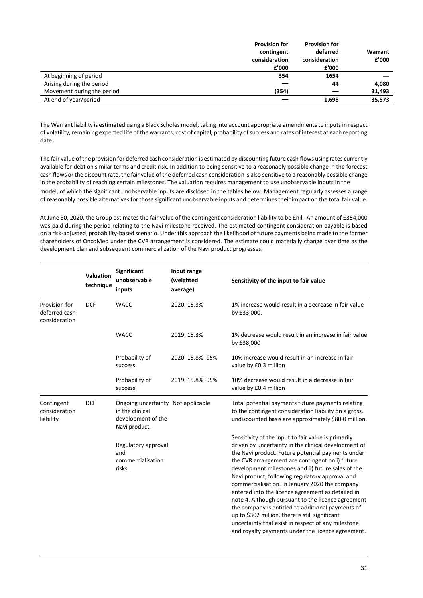|                            | <b>Provision for</b> | <b>Provision for</b> |         |
|----------------------------|----------------------|----------------------|---------|
|                            | contingent           | deferred             | Warrant |
|                            | consideration        | consideration        | f'000   |
|                            | £'000                | £'000                |         |
| At beginning of period     | 354                  | 1654                 |         |
| Arising during the period  |                      | 44                   | 4,080   |
| Movement during the period | (354)                |                      | 31,493  |
| At end of year/period      |                      | 1,698                | 35,573  |

The Warrant liability is estimated using a Black Scholes model, taking into account appropriate amendments to inputs in respect of volatility, remaining expected life of the warrants, cost of capital, probability of success and rates of interest at each reporting date.

The fair value of the provision for deferred cash consideration is estimated by discounting future cash flows using rates currently available for debt on similar terms and credit risk. In addition to being sensitive to a reasonably possible change in the forecast cash flows or the discount rate, the fair value of the deferred cash consideration is also sensitive to a reasonably possible change in the probability of reaching certain milestones. The valuation requires management to use unobservable inputs in the model, of which the significant unobservable inputs are disclosed in the tables below. Management regularly assesses a range of reasonably possible alternatives for those significant unobservable inputs and determines their impact on the total fair value.

At June 30, 2020, the Group estimates the fair value of the contingent consideration liability to be £nil. An amount of £354,000 was paid during the period relating to the Navi milestone received. The estimated contingent consideration payable is based on a risk-adjusted, probability-based scenario. Under this approach the likelihood of future payments being made to the former shareholders of OncoMed under the CVR arrangement is considered. The estimate could materially change over time as the development plan and subsequent commercialization of the Navi product progresses.

|                                                 | <b>Valuation</b><br>technique | Significant<br>unobservable<br>inputs                                                        | Input range<br>(weighted<br>average) | Sensitivity of the input to fair value                                                                                                                                                                                                                                                                                                                                                                                                                                                                                                                                                                                                                                                                       |
|-------------------------------------------------|-------------------------------|----------------------------------------------------------------------------------------------|--------------------------------------|--------------------------------------------------------------------------------------------------------------------------------------------------------------------------------------------------------------------------------------------------------------------------------------------------------------------------------------------------------------------------------------------------------------------------------------------------------------------------------------------------------------------------------------------------------------------------------------------------------------------------------------------------------------------------------------------------------------|
| Provision for<br>deferred cash<br>consideration | <b>DCF</b>                    | <b>WACC</b>                                                                                  | 2020: 15.3%                          | 1% increase would result in a decrease in fair value<br>by £33,000.                                                                                                                                                                                                                                                                                                                                                                                                                                                                                                                                                                                                                                          |
|                                                 |                               | <b>WACC</b>                                                                                  | 2019: 15.3%                          | 1% decrease would result in an increase in fair value<br>by £38,000                                                                                                                                                                                                                                                                                                                                                                                                                                                                                                                                                                                                                                          |
|                                                 |                               | Probability of<br>success                                                                    | 2020: 15.8%-95%                      | 10% increase would result in an increase in fair<br>value by £0.3 million                                                                                                                                                                                                                                                                                                                                                                                                                                                                                                                                                                                                                                    |
|                                                 |                               | Probability of<br>success                                                                    | 2019: 15.8%-95%                      | 10% decrease would result in a decrease in fair<br>value by £0.4 million                                                                                                                                                                                                                                                                                                                                                                                                                                                                                                                                                                                                                                     |
| Contingent<br>consideration<br>liability        | <b>DCF</b>                    | Ongoing uncertainty Not applicable<br>in the clinical<br>development of the<br>Navi product. |                                      | Total potential payments future payments relating<br>to the contingent consideration liability on a gross,<br>undiscounted basis are approximately \$80.0 million.                                                                                                                                                                                                                                                                                                                                                                                                                                                                                                                                           |
|                                                 |                               | Regulatory approval<br>and<br>commercialisation<br>risks.                                    |                                      | Sensitivity of the input to fair value is primarily<br>driven by uncertainty in the clinical development of<br>the Navi product. Future potential payments under<br>the CVR arrangement are contingent on i) future<br>development milestones and ii) future sales of the<br>Navi product, following regulatory approval and<br>commercialisation. In January 2020 the company<br>entered into the licence agreement as detailed in<br>note 4. Although pursuant to the licence agreement<br>the company is entitled to additional payments of<br>up to \$302 million, there is still significant<br>uncertainty that exist in respect of any milestone<br>and royalty payments under the licence agreement. |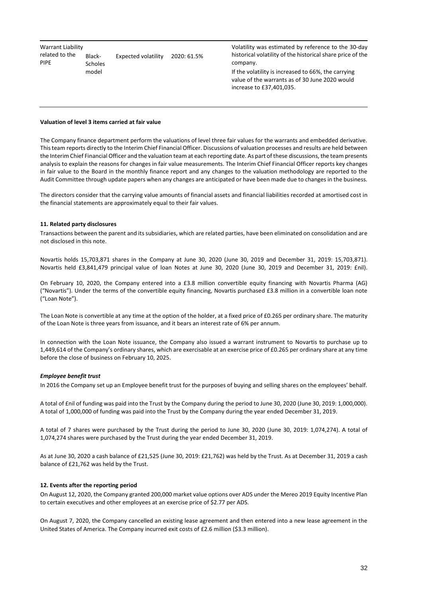| Warrant Liability       |                          |                     |             | Volatility was estin              |
|-------------------------|--------------------------|---------------------|-------------|-----------------------------------|
| related to the<br>PIPE. | Black-<br><b>Scholes</b> | Expected volatility | 2020: 61.5% | historical volatility<br>company. |
|                         | model                    |                     |             | If the volatility is in           |

nated by reference to the 30-day of the historical share price of the

If the carrying increased to 66%, the carrying value of the warrants as of 30 June 2020 would increase to £37,401,035.

#### **Valuation of level 3 items carried at fair value**

The Company finance department perform the valuations of level three fair values for the warrants and embedded derivative. This team reports directly to the Interim Chief Financial Officer. Discussions of valuation processes and results are held between the Interim Chief Financial Officer and the valuation team at each reporting date. As part of these discussions, the team presents analysis to explain the reasons for changes in fair value measurements. The Interim Chief Financial Officer reports key changes in fair value to the Board in the monthly finance report and any changes to the valuation methodology are reported to the Audit Committee through update papers when any changes are anticipated or have been made due to changes in the business.

The directors consider that the carrying value amounts of financial assets and financial liabilities recorded at amortised cost in the financial statements are approximately equal to their fair values.

## **11. Related party disclosures**

Transactions between the parent and its subsidiaries, which are related parties, have been eliminated on consolidation and are not disclosed in this note.

Novartis holds 15,703,871 shares in the Company at June 30, 2020 (June 30, 2019 and December 31, 2019: 15,703,871). Novartis held £3,841,479 principal value of loan Notes at June 30, 2020 (June 30, 2019 and December 31, 2019: £nil).

On February 10, 2020, the Company entered into a £3.8 million convertible equity financing with Novartis Pharma (AG) ("Novartis"). Under the terms of the convertible equity financing, Novartis purchased £3.8 million in a convertible loan note ("Loan Note").

The Loan Note is convertible at any time at the option of the holder, at a fixed price of £0.265 per ordinary share. The maturity of the Loan Note is three years from issuance, and it bears an interest rate of 6% per annum.

In connection with the Loan Note issuance, the Company also issued a warrant instrument to Novartis to purchase up to 1,449,614 of the Company's ordinary shares, which are exercisable at an exercise price of £0.265 per ordinary share at any time before the close of business on February 10, 2025.

#### *Employee benefit trust*

In 2016 the Company set up an Employee benefit trust for the purposes of buying and selling shares on the employees' behalf.

A total of £nil of funding was paid into the Trust by the Company during the period to June 30, 2020 (June 30, 2019: 1,000,000). A total of 1,000,000 of funding was paid into the Trust by the Company during the year ended December 31, 2019.

A total of 7 shares were purchased by the Trust during the period to June 30, 2020 (June 30, 2019: 1,074,274). A total of 1,074,274 shares were purchased by the Trust during the year ended December 31, 2019.

As at June 30, 2020 a cash balance of £21,525 (June 30, 2019: £21,762) was held by the Trust. As at December 31, 2019 a cash balance of £21,762 was held by the Trust.

#### **12. Events after the reporting period**

On August 12, 2020, the Company granted 200,000 market value options over ADS under the Mereo 2019 Equity Incentive Plan to certain executives and other employees at an exercise price of \$2.77 per ADS.

On August 7, 2020, the Company cancelled an existing lease agreement and then entered into a new lease agreement in the United States of America. The Company incurred exit costs of £2.6 million (\$3.3 million).